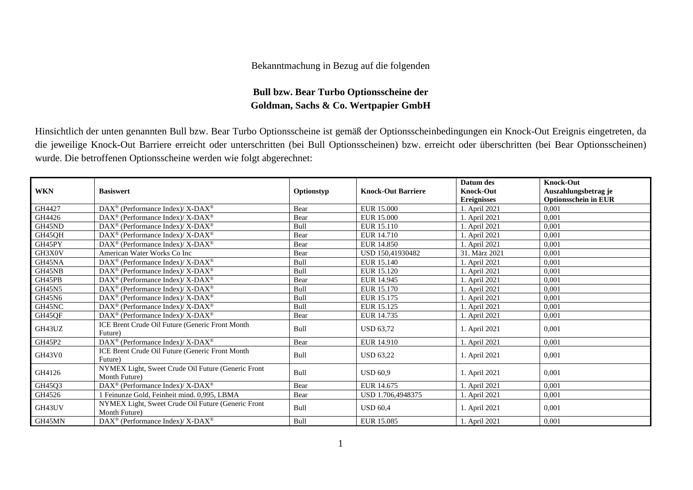## Bekanntmachung in Bezug auf die folgenden

## **Bull bzw. Bear Turbo Optionsscheine der Goldman, Sachs & Co. Wertpapier GmbH**

Hinsichtlich der unten genannten Bull bzw. Bear Turbo Optionsscheine ist gemäß der Optionsscheinbedingungen ein Knock-Out Ereignis eingetreten, da die jeweilige Knock-Out Barriere erreicht oder unterschritten (bei Bull Optionsscheinen) bzw. erreicht oder überschritten (bei Bear Optionsscheinen) wurde. Die betroffenen Optionsscheine werden wie folgt abgerechnet:

|               |                                                                    |            |                           | Datum des          | <b>Knock-Out</b>            |
|---------------|--------------------------------------------------------------------|------------|---------------------------|--------------------|-----------------------------|
| <b>WKN</b>    | <b>Basiswert</b>                                                   | Optionstyp | <b>Knock-Out Barriere</b> | <b>Knock-Out</b>   | Auszahlungsbetrag je        |
|               |                                                                    |            |                           | <b>Ereignisses</b> | <b>Optionsschein in EUR</b> |
| GH4427        | DAX <sup>®</sup> (Performance Index)/ X-DAX <sup>®</sup>           | Bear       | <b>EUR 15.000</b>         | 1. April 2021      | 0.001                       |
| GH4426        | $DAX^{\circledcirc}$ (Performance Index)/ X-DAX <sup>®</sup>       | Bear       | EUR 15.000                | 1. April 2021      | 0,001                       |
| GH45ND        | $DAX^{\circledast}$ (Performance Index)/ X-DAX <sup>®</sup>        | Bull       | EUR 15.110                | 1. April 2021      | 0.001                       |
| GH45QH        | DAX <sup>®</sup> (Performance Index)/ X-DAX <sup>®</sup>           | Bear       | EUR 14.710                | 1. April 2021      | 0.001                       |
| GH45PY        | $DAX^{\circledcirc}$ (Performance Index)/ X-DAX <sup>®</sup>       | Bear       | EUR 14.850                | 1. April 2021      | 0,001                       |
| GH3X0V        | American Water Works Co Inc                                        | Bear       | USD 150,41930482          | 31. März 2021      | 0,001                       |
| GH45NA        | DAX <sup>®</sup> (Performance Index)/ X-DAX <sup>®</sup>           | Bull       | EUR 15.140                | 1. April 2021      | 0.001                       |
| GH45NB        | $DAX^{\circledast}$ (Performance Index)/ X-DAX <sup>®</sup>        | Bull       | EUR 15.120                | 1. April 2021      | 0,001                       |
| GH45PB        | $DAX^{\circledast}$ (Performance Index)/ X-DAX <sup>®</sup>        | Bear       | EUR 14.945                | 1. April 2021      | 0,001                       |
| GH45N5        | DAX <sup>®</sup> (Performance Index)/ X-DAX <sup>®</sup>           | Bull       | EUR 15.170                | 1. April 2021      | 0.001                       |
| <b>GH45N6</b> | DAX <sup>®</sup> (Performance Index)/ X-DAX <sup>®</sup>           | Bull       | EUR 15.175                | 1. April 2021      | 0.001                       |
| GH45NC        | $DAX^{\circledast}$ (Performance Index)/ X-DAX <sup>®</sup>        | Bull       | EUR 15.125                | 1. April 2021      | 0,001                       |
| GH45QF        | $\text{DAX}^{\circledast}$ (Performance Index)/ X-DAX <sup>®</sup> | Bear       | EUR 14.735                | 1. April 2021      | 0,001                       |
| GH43UZ        | ICE Brent Crude Oil Future (Generic Front Month                    | Bull       | <b>USD 63,72</b>          |                    | 0,001                       |
|               | Future)                                                            |            |                           | 1. April 2021      |                             |
| GH45P2        | DAX <sup>®</sup> (Performance Index)/ X-DAX <sup>®</sup>           | Bear       | EUR 14.910                | 1. April 2021      | 0.001                       |
| <b>GH43V0</b> | ICE Brent Crude Oil Future (Generic Front Month                    | Bull       | <b>USD 63,22</b>          | 1. April 2021      | 0,001                       |
|               | Future)                                                            |            |                           |                    |                             |
| GH4126        | NYMEX Light, Sweet Crude Oil Future (Generic Front                 | Bull       | <b>USD 60.9</b>           | 1. April 2021      | 0.001                       |
|               | Month Future)                                                      |            |                           |                    |                             |
| GH45Q3        | DAX <sup>®</sup> (Performance Index)/X-DAX <sup>®</sup>            | Bear       | EUR 14.675                | 1. April 2021      | 0,001                       |
| GH4526        | 1 Feinunze Gold, Feinheit mind. 0,995, LBMA                        | Bear       | USD 1.706,4948375         | 1. April 2021      | 0.001                       |
| GH43UV        | NYMEX Light, Sweet Crude Oil Future (Generic Front                 | Bull       | <b>USD 60.4</b>           | 1. April 2021      | 0,001                       |
|               | Month Future)                                                      |            |                           |                    |                             |
| GH45MN        | $\text{DAX}^{\circledast}$ (Performance Index)/ X-DAX <sup>®</sup> | Bull       | EUR 15.085                | 1. April 2021      | 0,001                       |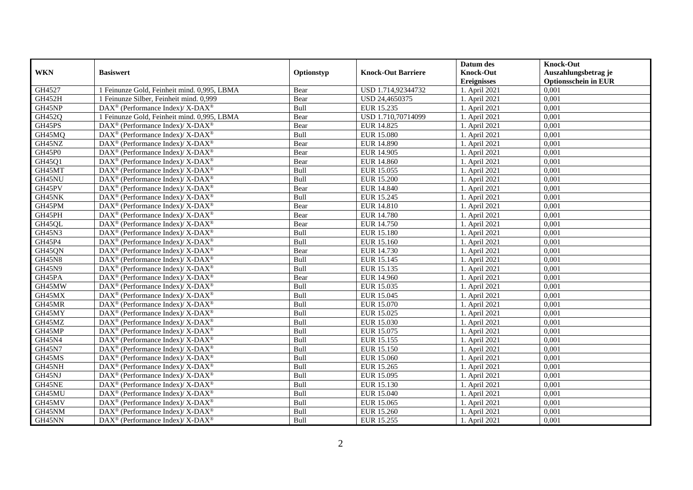|               |                                                              |            |                           | Datum des          | <b>Knock-Out</b>            |
|---------------|--------------------------------------------------------------|------------|---------------------------|--------------------|-----------------------------|
| <b>WKN</b>    | <b>Basiswert</b>                                             | Optionstyp | <b>Knock-Out Barriere</b> | <b>Knock-Out</b>   | Auszahlungsbetrag je        |
|               |                                                              |            |                           | <b>Ereignisses</b> | <b>Optionsschein in EUR</b> |
| GH4527        | 1 Feinunze Gold, Feinheit mind. 0,995, LBMA                  | Bear       | USD 1.714,92344732        | 1. April 2021      | 0,001                       |
| <b>GH452H</b> | 1 Feinunze Silber, Feinheit mind. 0,999                      | Bear       | USD 24,4650375            | 1. April 2021      | 0,001                       |
| GH45NP        | $DAX^{\circledast}$ (Performance Index)/ X-DAX <sup>®</sup>  | Bull       | EUR 15.235                | 1. April 2021      | 0,001                       |
| GH452Q        | 1 Feinunze Gold, Feinheit mind. 0,995, LBMA                  | Bear       | USD 1.710,70714099        | 1. April 2021      | 0,001                       |
| GH45PS        | DAX <sup>®</sup> (Performance Index)/ X-DAX <sup>®</sup>     | Bear       | EUR 14.825                | 1. April 2021      | 0,001                       |
| GH45MQ        | DAX <sup>®</sup> (Performance Index)/ X-DAX <sup>®</sup>     | Bull       | <b>EUR 15.080</b>         | 1. April 2021      | 0,001                       |
| GH45NZ        | $DAX^{\circledast}$ (Performance Index)/ X-DAX <sup>®</sup>  | Bear       | <b>EUR 14.890</b>         | 1. April 2021      | 0,001                       |
| GH45P0        | $DAX^{\circledast}$ (Performance Index)/ X-DAX <sup>®</sup>  | Bear       | EUR 14.905                | 1. April 2021      | 0,001                       |
| GH45Q1        | $DAX^{\circledast}$ (Performance Index)/ X-DAX <sup>®</sup>  | Bear       | EUR 14.860                | 1. April 2021      | 0,001                       |
| GH45MT        | DAX <sup>®</sup> (Performance Index)/ X-DAX <sup>®</sup>     | Bull       | EUR 15.055                | 1. April 2021      | 0,001                       |
| GH45NU        | $DAX^{\circledast}$ (Performance Index)/ X-DAX <sup>®</sup>  | Bull       | <b>EUR 15.200</b>         | 1. April 2021      | 0.001                       |
| GH45PV        | DAX <sup>®</sup> (Performance Index)/ X-DAX <sup>®</sup>     | Bear       | EUR 14.840                | 1. April 2021      | 0,001                       |
| GH45NK        | DAX <sup>®</sup> (Performance Index)/ X-DAX <sup>®</sup>     | Bull       | EUR 15.245                | 1. April 2021      | 0,001                       |
| GH45PM        | $DAX^{\circledast}$ (Performance Index)/ X-DAX <sup>®</sup>  | Bear       | EUR 14.810                | 1. April 2021      | 0,001                       |
| GH45PH        | $DAX^{\circledast}$ (Performance Index)/ X-DAX <sup>®</sup>  | Bear       | EUR 14.780                | 1. April 2021      | 0,001                       |
| GH45QL        | DAX <sup>®</sup> (Performance Index)/ X-DAX <sup>®</sup>     | Bear       | EUR 14.750                | 1. April 2021      | 0,001                       |
| GH45N3        | $DAX^{\circledast}$ (Performance Index)/ X-DAX <sup>®</sup>  | Bull       | EUR 15.180                | 1. April 2021      | 0,001                       |
| GH45P4        | $DAX^{\circledcirc}$ (Performance Index)/ X-DAX <sup>®</sup> | Bull       | EUR 15.160                | 1. April 2021      | 0,001                       |
| GH45QN        | DAX <sup>®</sup> (Performance Index)/ X-DAX <sup>®</sup>     | Bear       | EUR 14.730                | 1. April 2021      | 0,001                       |
| <b>GH45N8</b> | $DAX^{\circledast}$ (Performance Index)/ X-DAX <sup>®</sup>  | Bull       | EUR 15.145                | 1. April 2021      | 0,001                       |
| GH45N9        | DAX <sup>®</sup> (Performance Index)/ X-DAX <sup>®</sup>     | Bull       | EUR 15.135                | 1. April 2021      | 0,001                       |
| GH45PA        | $DAX^{\circledast}$ (Performance Index)/ X-DAX <sup>®</sup>  | Bear       | EUR 14.960                | 1. April 2021      | 0,001                       |
| GH45MW        | $DAX^{\circledast}$ (Performance Index)/ X-DAX <sup>®</sup>  | Bull       | EUR 15.035                | 1. April 2021      | 0,001                       |
| GH45MX        | $DAX^{\circledast}$ (Performance Index)/ X-DAX <sup>®</sup>  | Bull       | EUR 15.045                | 1. April 2021      | 0,001                       |
| GH45MR        | $DAX^{\circledast}$ (Performance Index)/ X-DAX <sup>®</sup>  | Bull       | EUR 15.070                | 1. April 2021      | 0,001                       |
| GH45MY        | $DAX^{\circledast}$ (Performance Index)/ X-DAX <sup>®</sup>  | Bull       | EUR 15.025                | 1. April 2021      | 0,001                       |
| GH45MZ        | $DAX^{\circledast}$ (Performance Index)/ X-DAX <sup>®</sup>  | Bull       | EUR 15.030                | 1. April 2021      | 0,001                       |
| GH45MP        | $DAX^{\circledast}$ (Performance Index)/ X-DAX <sup>®</sup>  | Bull       | EUR 15.075                | 1. April 2021      | 0,001                       |
| GH45N4        | $DAX^{\circledast}$ (Performance Index)/ X-DAX <sup>®</sup>  | Bull       | EUR 15.155                | 1. April 2021      | 0,001                       |
| GH45N7        | DAX <sup>®</sup> (Performance Index)/ X-DAX <sup>®</sup>     | Bull       | EUR 15.150                | 1. April 2021      | 0,001                       |
| GH45MS        | $DAX^{\circledast}$ (Performance Index)/ X-DAX <sup>®</sup>  | Bull       | EUR 15.060                | 1. April 2021      | 0,001                       |
| GH45NH        | DAX <sup>®</sup> (Performance Index)/ X-DAX <sup>®</sup>     | Bull       | EUR 15.265                | 1. April 2021      | 0.001                       |
| GH45NJ        | $DAX^{\circledast}$ (Performance Index)/ X-DAX <sup>®</sup>  | Bull       | EUR 15.095                | 1. April 2021      | 0,001                       |
| GH45NE        | DAX <sup>®</sup> (Performance Index)/ X-DAX <sup>®</sup>     | Bull       | EUR 15.130                | 1. April 2021      | 0,001                       |
| GH45MU        | $DAX^{\circledast}$ (Performance Index)/ X-DAX <sup>®</sup>  | Bull       | <b>EUR 15.040</b>         | 1. April 2021      | 0,001                       |
| GH45MV        | DAX <sup>®</sup> (Performance Index)/X-DAX <sup>®</sup>      | Bull       | EUR 15.065                | 1. April 2021      | 0,001                       |
| GH45NM        | DAX <sup>®</sup> (Performance Index)/ X-DAX <sup>®</sup>     | Bull       | EUR 15.260                | 1. April 2021      | 0,001                       |
| GH45NN        | $DAX^{\circledast}$ (Performance Index)/ X-DAX <sup>®</sup>  | Bull       | EUR 15.255                | 1. April 2021      | 0,001                       |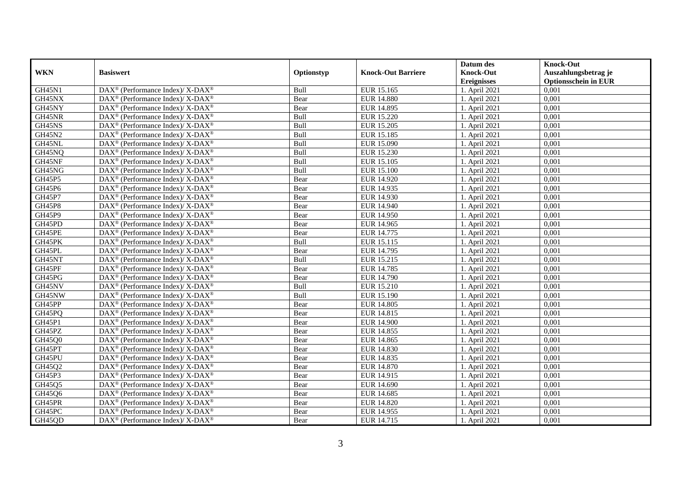|               |                                                             |            |                           | Datum des          | <b>Knock-Out</b>            |
|---------------|-------------------------------------------------------------|------------|---------------------------|--------------------|-----------------------------|
| <b>WKN</b>    | <b>Basiswert</b>                                            | Optionstyp | <b>Knock-Out Barriere</b> | <b>Knock-Out</b>   | Auszahlungsbetrag je        |
|               |                                                             |            |                           | <b>Ereignisses</b> | <b>Optionsschein in EUR</b> |
| <b>GH45N1</b> | DAX <sup>®</sup> (Performance Index)/ X-DAX <sup>®</sup>    | Bull       | EUR 15.165                | 1. April 2021      | 0,001                       |
| GH45NX        | DAX <sup>®</sup> (Performance Index)/ X-DAX <sup>®</sup>    | Bear       | <b>EUR 14.880</b>         | 1. April 2021      | 0,001                       |
| GH45NY        | DAX <sup>®</sup> (Performance Index)/ X-DAX <sup>®</sup>    | Bear       | EUR 14.895                | 1. April 2021      | 0,001                       |
| GH45NR        | DAX <sup>®</sup> (Performance Index)/ X-DAX <sup>®</sup>    | Bull       | <b>EUR 15.220</b>         | 1. April 2021      | 0,001                       |
| GH45NS        | DAX <sup>®</sup> (Performance Index)/ X-DAX <sup>®</sup>    | Bull       | <b>EUR 15.205</b>         | 1. April 2021      | 0,001                       |
| GH45N2        | DAX <sup>®</sup> (Performance Index)/ X-DAX <sup>®</sup>    | Bull       | EUR 15.185                | 1. April 2021      | 0,001                       |
| GH45NL        | DAX <sup>®</sup> (Performance Index)/ X-DAX <sup>®</sup>    | Bull       | EUR 15.090                | 1. April 2021      | 0,001                       |
| GH45NQ        | DAX <sup>®</sup> (Performance Index)/ X-DAX <sup>®</sup>    | Bull       | EUR 15.230                | 1. April 2021      | 0,001                       |
| GH45NF        | DAX <sup>®</sup> (Performance Index)/ X-DAX <sup>®</sup>    | Bull       | EUR 15.105                | 1. April 2021      | 0,001                       |
| GH45NG        | DAX <sup>®</sup> (Performance Index)/ X-DAX <sup>®</sup>    | Bull       | <b>EUR 15.100</b>         | 1. April 2021      | 0,001                       |
| GH45P5        | DAX <sup>®</sup> (Performance Index)/ X-DAX <sup>®</sup>    | Bear       | EUR 14.920                | 1. April 2021      | 0,001                       |
| GH45P6        | DAX <sup>®</sup> (Performance Index)/ X-DAX <sup>®</sup>    | Bear       | EUR 14.935                | 1. April 2021      | 0,001                       |
| GH45P7        | DAX <sup>®</sup> (Performance Index)/ X-DAX <sup>®</sup>    | Bear       | EUR 14.930                | 1. April 2021      | 0,001                       |
| <b>GH45P8</b> | DAX <sup>®</sup> (Performance Index)/ X-DAX <sup>®</sup>    | Bear       | <b>EUR 14.940</b>         | 1. April 2021      | 0,001                       |
| GH45P9        | DAX <sup>®</sup> (Performance Index)/ X-DAX <sup>®</sup>    | Bear       | EUR 14.950                | 1. April 2021      | 0,001                       |
| GH45PD        | DAX <sup>®</sup> (Performance Index)/ X-DAX <sup>®</sup>    | Bear       | EUR 14.965                | 1. April 2021      | 0,001                       |
| GH45PE        | DAX <sup>®</sup> (Performance Index)/ X-DAX <sup>®</sup>    | Bear       | EUR 14.775                | 1. April 2021      | 0,001                       |
| GH45PK        | DAX <sup>®</sup> (Performance Index)/ X-DAX <sup>®</sup>    | Bull       | EUR 15.115                | 1. April 2021      | 0,001                       |
| GH45PL        | $DAX^{\circledast}$ (Performance Index)/ X-DAX <sup>®</sup> | Bear       | EUR 14.795                | 1. April 2021      | 0,001                       |
| GH45NT        | DAX <sup>®</sup> (Performance Index)/ X-DAX <sup>®</sup>    | Bull       | EUR 15.215                | 1. April 2021      | 0,001                       |
| GH45PF        | DAX <sup>®</sup> (Performance Index)/ X-DAX <sup>®</sup>    | Bear       | EUR 14.785                | 1. April 2021      | 0,001                       |
| GH45PG        | DAX <sup>®</sup> (Performance Index)/ X-DAX <sup>®</sup>    | Bear       | <b>EUR 14.790</b>         | 1. April 2021      | 0,001                       |
| GH45NV        | DAX <sup>®</sup> (Performance Index)/ X-DAX <sup>®</sup>    | Bull       | EUR 15.210                | 1. April 2021      | 0,001                       |
| GH45NW        | DAX <sup>®</sup> (Performance Index)/ X-DAX <sup>®</sup>    | Bull       | EUR 15.190                | 1. April 2021      | 0,001                       |
| GH45PP        | DAX <sup>®</sup> (Performance Index)/ X-DAX <sup>®</sup>    | Bear       | <b>EUR 14.805</b>         | 1. April 2021      | 0,001                       |
| GH45PQ        | DAX <sup>®</sup> (Performance Index)/ X-DAX <sup>®</sup>    | Bear       | EUR 14.815                | 1. April 2021      | 0,001                       |
| GH45P1        | DAX <sup>®</sup> (Performance Index)/ X-DAX <sup>®</sup>    | Bear       | <b>EUR 14.900</b>         | 1. April 2021      | 0.001                       |
| GH45PZ        | DAX <sup>®</sup> (Performance Index)/ X-DAX <sup>®</sup>    | Bear       | EUR 14.855                | 1. April 2021      | 0,001                       |
| GH45Q0        | DAX <sup>®</sup> (Performance Index)/ X-DAX <sup>®</sup>    | Bear       | EUR 14.865                | 1. April 2021      | 0,001                       |
| GH45PT        | DAX <sup>®</sup> (Performance Index)/ X-DAX <sup>®</sup>    | Bear       | EUR 14.830                | 1. April 2021      | 0,001                       |
| GH45PU        | $DAX^{\circledast}$ (Performance Index)/ X-DAX <sup>®</sup> | Bear       | EUR 14.835                | 1. April 2021      | 0,001                       |
| GH45Q2        | $DAX^{\circledast}$ (Performance Index)/ X-DAX <sup>®</sup> | Bear       | EUR 14.870                | 1. April 2021      | 0,001                       |
| GH45P3        | DAX <sup>®</sup> (Performance Index)/ X-DAX <sup>®</sup>    | Bear       | EUR 14.915                | 1. April 2021      | 0,001                       |
| GH45Q5        | DAX <sup>®</sup> (Performance Index)/ X-DAX <sup>®</sup>    | Bear       | EUR 14.690                | 1. April 2021      | 0,001                       |
| GH45Q6        | DAX <sup>®</sup> (Performance Index)/ X-DAX <sup>®</sup>    | Bear       | EUR 14.685                | 1. April 2021      | 0,001                       |
| GH45PR        | DAX <sup>®</sup> (Performance Index)/ X-DAX <sup>®</sup>    | Bear       | <b>EUR 14.820</b>         | 1. April 2021      | 0,001                       |
| GH45PC        | DAX <sup>®</sup> (Performance Index)/ X-DAX <sup>®</sup>    | Bear       | EUR 14.955                | 1. April 2021      | 0,001                       |
| GH45QD        | DAX <sup>®</sup> (Performance Index)/ X-DAX <sup>®</sup>    | Bear       | EUR 14.715                | 1. April 2021      | 0,001                       |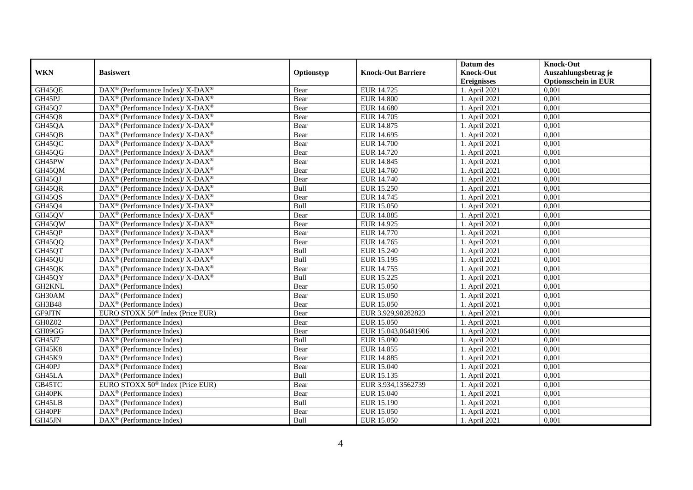|               |                                                              |            |                           | Datum des          | <b>Knock-Out</b>            |
|---------------|--------------------------------------------------------------|------------|---------------------------|--------------------|-----------------------------|
| <b>WKN</b>    | <b>Basiswert</b>                                             | Optionstyp | <b>Knock-Out Barriere</b> | <b>Knock-Out</b>   | Auszahlungsbetrag je        |
|               |                                                              |            |                           | <b>Ereignisses</b> | <b>Optionsschein in EUR</b> |
| GH45QE        | DAX <sup>®</sup> (Performance Index)/ X-DAX <sup>®</sup>     | Bear       | EUR 14.725                | 1. April 2021      | 0,001                       |
| GH45PJ        | $DAX^{\circledast}$ (Performance Index)/ X-DAX <sup>®</sup>  | Bear       | <b>EUR 14.800</b>         | 1. April 2021      | 0,001                       |
| GH45Q7        | $DAX^{\circledast}$ (Performance Index)/ X-DAX <sup>®</sup>  | Bear       | <b>EUR 14.680</b>         | 1. April 2021      | 0,001                       |
| GH45Q8        | $DAX^{\circledast}$ (Performance Index)/ X-DAX <sup>®</sup>  | Bear       | EUR 14.705                | 1. April 2021      | 0.001                       |
| GH45QA        | DAX <sup>®</sup> (Performance Index)/ X-DAX <sup>®</sup>     | Bear       | EUR 14.875                | 1. April 2021      | 0,001                       |
| GH45QB        | DAX <sup>®</sup> (Performance Index)/ X-DAX <sup>®</sup>     | Bear       | EUR 14.695                | 1. April 2021      | 0,001                       |
| GH45QC        | DAX <sup>®</sup> (Performance Index)/ X-DAX <sup>®</sup>     | Bear       | <b>EUR 14.700</b>         | 1. April 2021      | 0,001                       |
| GH45QG        | $DAX^{\circledast}$ (Performance Index)/ X-DAX <sup>®</sup>  | Bear       | EUR 14.720                | 1. April 2021      | 0,001                       |
| GH45PW        | $DAX^{\circledast}$ (Performance Index)/ X-DAX <sup>®</sup>  | Bear       | EUR 14.845                | 1. April 2021      | 0,001                       |
| GH45QM        | $DAX^{\circledast}$ (Performance Index)/ X-DAX <sup>®</sup>  | Bear       | EUR 14.760                | 1. April 2021      | 0,001                       |
| GH45QJ        | DAX <sup>®</sup> (Performance Index)/ X-DAX <sup>®</sup>     | Bear       | EUR 14.740                | 1. April 2021      | 0,001                       |
| GH45QR        | DAX <sup>®</sup> (Performance Index)/ X-DAX <sup>®</sup>     | Bull       | EUR 15.250                | 1. April 2021      | 0,001                       |
| GH45QS        | $DAX^{\circledast}$ (Performance Index)/ X-DAX <sup>®</sup>  | Bear       | EUR 14.745                | 1. April 2021      | 0,001                       |
| GH45Q4        | $DAX^{\circledast}$ (Performance Index)/ X-DAX <sup>®</sup>  | Bull       | EUR 15.050                | 1. April 2021      | 0,001                       |
| GH45QV        | $DAX^{\circledast}$ (Performance Index)/ X-DAX <sup>®</sup>  | Bear       | EUR 14.885                | 1. April 2021      | 0,001                       |
| GH45QW        | DAX <sup>®</sup> (Performance Index)/ X-DAX <sup>®</sup>     | Bear       | EUR 14.925                | 1. April 2021      | 0,001                       |
| GH45QP        | $DAX^{\circledast}$ (Performance Index)/ X-DAX <sup>®</sup>  | Bear       | EUR 14.770                | 1. April 2021      | 0,001                       |
| <b>GH45QQ</b> | $DAX^{\circledcirc}$ (Performance Index)/ X-DAX <sup>®</sup> | Bear       | EUR 14.765                | 1. April 2021      | 0.001                       |
| GH45QT        | $DAX^{\circledast}$ (Performance Index)/ X-DAX <sup>®</sup>  | Bull       | <b>EUR 15.240</b>         | 1. April 2021      | 0,001                       |
| GH45QU        | DAX <sup>®</sup> (Performance Index)/ X-DAX <sup>®</sup>     | Bull       | EUR 15.195                | 1. April 2021      | 0,001                       |
| GH45QK        | DAX <sup>®</sup> (Performance Index)/ X-DAX <sup>®</sup>     | Bear       | EUR 14.755                | 1. April 2021      | 0.001                       |
| GH45QY        | $DAX^{\circledast}$ (Performance Index)/ X-DAX <sup>®</sup>  | Bull       | EUR 15.225                | 1. April 2021      | 0,001                       |
| GH2KNL        | $DAX^{\circledast}$ (Performance Index)                      | Bear       | EUR 15.050                | 1. April 2021      | 0,001                       |
| GH30AM        | DAX <sup>®</sup> (Performance Index)                         | Bear       | EUR 15.050                | 1. April 2021      | 0,001                       |
| GH3B48        | $DAX^{\circledcirc}$ (Performance Index)                     | Bear       | EUR 15.050                | 1. April 2021      | 0.001                       |
| GF9JTN        | EURO STOXX 50 <sup>®</sup> Index (Price EUR)                 | Bear       | EUR 3.929,98282823        | 1. April 2021      | 0,001                       |
| GH0Z02        | DAX <sup>®</sup> (Performance Index)                         | Bear       | <b>EUR 15.050</b>         | 1. April 2021      | 0,001                       |
| GH09GG        | $DAX^{\circledR}$ (Performance Index)                        | Bear       | EUR 15.043,06481906       | 1. April 2021      | 0,001                       |
| GH45J7        | $DAX^{\circledast}$ (Performance Index)                      | Bull       | EUR 15.090                | 1. April 2021      | 0,001                       |
| <b>GH45K8</b> | $DAX^{\circledast}$ (Performance Index)                      | Bear       | EUR 14.855                | 1. April 2021      | 0,001                       |
| GH45K9        | $DAX^{\circledast}$ (Performance Index)                      | Bear       | EUR 14.885                | 1. April 2021      | 0,001                       |
| GH40PJ        | $DAX^{\circledcirc}$ (Performance Index)                     | Bear       | EUR 15.040                | 1. April 2021      | 0.001                       |
| GH45LA        | $DAX^{\circledR}$ (Performance Index)                        | Bull       | EUR 15.135                | 1. April 2021      | 0,001                       |
| GB45TC        | EURO STOXX 50 <sup>®</sup> Index (Price EUR)                 | Bear       | EUR 3.934,13562739        | 1. April 2021      | 0,001                       |
| GH40PK        | DAX <sup>®</sup> (Performance Index)                         | Bear       | EUR 15.040                | 1. April 2021      | 0,001                       |
| GH45LB        | $DAX^{\circledcirc}$ (Performance Index)                     | Bull       | <b>EUR 15.190</b>         | 1. April 2021      | 0,001                       |
| GH40PF        | $DAX^{\circledast}$ (Performance Index)                      | Bear       | EUR 15.050                | 1. April 2021      | 0,001                       |
| GH45JN        | $DAX^{\circledast}$ (Performance Index)                      | Bull       | EUR 15.050                | 1. April 2021      | 0,001                       |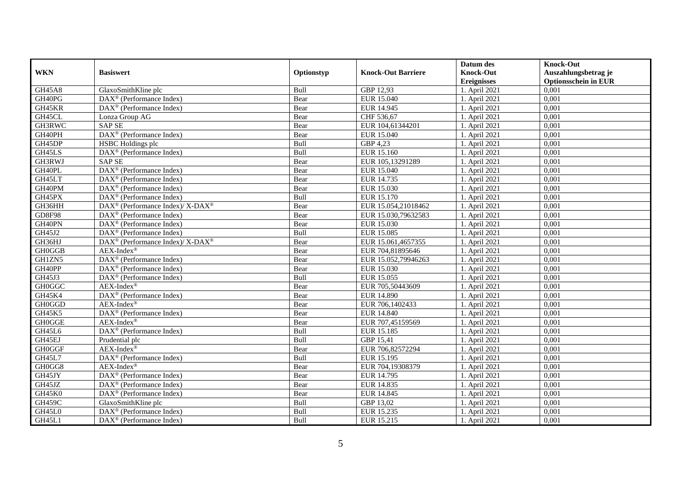|               |                                                                           |            |                           | Datum des          | <b>Knock-Out</b>            |
|---------------|---------------------------------------------------------------------------|------------|---------------------------|--------------------|-----------------------------|
| <b>WKN</b>    | <b>Basiswert</b>                                                          | Optionstyp | <b>Knock-Out Barriere</b> | <b>Knock-Out</b>   | Auszahlungsbetrag je        |
|               |                                                                           |            |                           | <b>Ereignisses</b> | <b>Optionsschein in EUR</b> |
| <b>GH45A8</b> | GlaxoSmithKline plc                                                       | Bull       | GBP 12,93                 | 1. April 2021      | 0,001                       |
| GH40PG        | $DAX^{\circledR}$ (Performance Index)                                     | Bear       | EUR 15.040                | 1. April 2021      | 0,001                       |
| GH45KR        | $DAX^{\circledcirc}$ (Performance Index)                                  | Bear       | EUR 14.945                | 1. April 2021      | 0,001                       |
| GH45CL        | Lonza Group AG                                                            | Bear       | CHF 536,67                | 1. April 2021      | 0,001                       |
| GH3RWC        | <b>SAP SE</b>                                                             | Bear       | EUR 104,61344201          | 1. April 2021      | 0,001                       |
| GH40PH        | DAX <sup>®</sup> (Performance Index)                                      | Bear       | EUR 15.040                | 1. April 2021      | 0,001                       |
| GH45DP        | HSBC Holdings plc                                                         | Bull       | GBP 4,23                  | 1. April 2021      | 0,001                       |
| GH45LS        | DAX <sup>®</sup> (Performance Index)                                      | Bull       | EUR 15.160                | 1. April 2021      | 0,001                       |
| GH3RWJ        | <b>SAP SE</b>                                                             | Bear       | EUR 105,13291289          | 1. April 2021      | 0,001                       |
| GH40PL        | DAX <sup>®</sup> (Performance Index)                                      | Bear       | EUR 15.040                | 1. April 2021      | 0,001                       |
| GH45LT        | DAX <sup>®</sup> (Performance Index)                                      | Bear       | EUR 14.735                | 1. April 2021      | 0,001                       |
| GH40PM        | DAX <sup>®</sup> (Performance Index)                                      | Bear       | EUR 15.030                | 1. April 2021      | 0,001                       |
| GH45PX        | $DAX^{\circledR}$ (Performance Index)                                     | Bull       | EUR 15.170                | 1. April 2021      | 0.001                       |
| GH36HH        | DAX <sup>®</sup> (Performance Index)/ X-DAX <sup>®</sup>                  | Bear       | EUR 15.054,21018462       | 1. April 2021      | 0,001                       |
| <b>GD8F98</b> | DAX <sup>®</sup> (Performance Index)                                      | Bear       | EUR 15.030,79632583       | 1. April 2021      | 0,001                       |
| GH40PN        | DAX <sup>®</sup> (Performance Index)                                      | Bear       | EUR 15.030                | 1. April 2021      | 0,001                       |
| GH45J2        | DAX <sup>®</sup> (Performance Index)                                      | Bull       | EUR 15.085                | 1. April 2021      | 0,001                       |
| GH36HJ        | $DAX^{\circledast}$ (Performance Index)/ $\overline{X-DAX^{\circledast}}$ | Bear       | EUR 15.061,4657355        | 1. April 2021      | 0.001                       |
| <b>GH0GGB</b> | $AEX-Index^{\circledR}$                                                   | Bear       | EUR 704,81895646          | 1. April 2021      | 0,001                       |
| GH1ZN5        | DAX <sup>®</sup> (Performance Index)                                      | Bear       | EUR 15.052,79946263       | 1. April 2021      | 0,001                       |
| GH40PP        | DAX <sup>®</sup> (Performance Index)                                      | Bear       | EUR 15.030                | 1. April 2021      | 0,001                       |
| GH45J3        | DAX <sup>®</sup> (Performance Index)                                      | Bull       | EUR 15.055                | 1. April 2021      | 0,001                       |
| <b>GH0GGC</b> | $AEX-Index^{\circledR}$                                                   | Bear       | EUR 705,50443609          | 1. April 2021      | 0,001                       |
| GH45K4        | DAX <sup>®</sup> (Performance Index)                                      | Bear       | <b>EUR 14.890</b>         | 1. April 2021      | 0,001                       |
| GH0GGD        | $AEX-Index^{\circledR}$                                                   | Bear       | EUR 706,1402433           | 1. April 2021      | 0,001                       |
| GH45K5        | DAX <sup>®</sup> (Performance Index)                                      | Bear       | EUR 14.840                | 1. April 2021      | 0,001                       |
| <b>GH0GGE</b> | $AEX-Index^{\circledR}$                                                   | Bear       | EUR 707,45159569          | 1. April 2021      | 0,001                       |
| GH45L6        | DAX <sup>®</sup> (Performance Index)                                      | Bull       | EUR 15.185                | 1. April 2021      | 0,001                       |
| GH45EJ        | Prudential plc                                                            | Bull       | GBP 15,41                 | 1. April 2021      | 0,001                       |
| <b>GH0GGF</b> | $AEX-Index^{\circledR}$                                                   | Bear       | EUR 706,82572294          | 1. April 2021      | 0,001                       |
| GH45L7        | DAX <sup>®</sup> (Performance Index)                                      | Bull       | EUR 15.195                | 1. April 2021      | 0,001                       |
| GH0GG8        | AEX-Index®                                                                | Bear       | EUR 704,19308379          | 1. April 2021      | 0.001                       |
| GH45JY        | DAX <sup>®</sup> (Performance Index)                                      | Bear       | EUR 14.795                | 1. April 2021      | 0,001                       |
| GH45JZ        | $DAX^{\circledR}$ (Performance Index)                                     | Bear       | EUR 14.835                | 1. April 2021      | 0,001                       |
| GH45K0        | $\overline{\text{DAX}^{\circledast}(\text{Performance Index})}$           | Bear       | EUR 14.845                | 1. April 2021      | 0,001                       |
| <b>GH459C</b> | GlaxoSmithKline plc                                                       | Bull       | GBP 13,02                 | 1. April 2021      | 0,001                       |
| GH45L0        | $DAX^{\circledast}$ (Performance Index)                                   | Bull       | EUR 15.235                | 1. April 2021      | 0,001                       |
| GH45L1        | DAX <sup>®</sup> (Performance Index)                                      | Bull       | EUR 15.215                | 1. April 2021      | 0,001                       |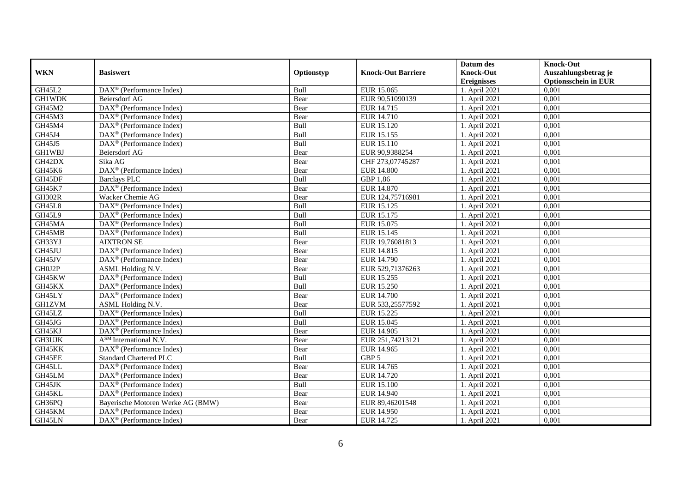|               |                                                       |            |                           | Datum des          | <b>Knock-Out</b>            |
|---------------|-------------------------------------------------------|------------|---------------------------|--------------------|-----------------------------|
| <b>WKN</b>    | <b>Basiswert</b>                                      | Optionstyp | <b>Knock-Out Barriere</b> | <b>Knock-Out</b>   | Auszahlungsbetrag je        |
|               |                                                       |            |                           | <b>Ereignisses</b> | <b>Optionsschein in EUR</b> |
| GH45L2        | $\overline{\text{DAX}^{\otimes}}$ (Performance Index) | Bull       | EUR 15.065                | 1. April 2021      | 0,001                       |
| <b>GH1WDK</b> | <b>Beiersdorf AG</b>                                  | Bear       | EUR 90,51090139           | 1. April 2021      | 0,001                       |
| GH45M2        | $DAX^{\circledast}$ (Performance Index)               | Bear       | EUR 14.715                | 1. April 2021      | 0,001                       |
| GH45M3        | $DAX^{\circledast}$ (Performance Index)               | Bear       | EUR 14.710                | 1. April 2021      | 0,001                       |
| GH45M4        | DAX <sup>®</sup> (Performance Index)                  | Bull       | EUR 15.120                | 1. April 2021      | 0,001                       |
| GH45J4        | DAX <sup>®</sup> (Performance Index)                  | Bull       | EUR 15.155                | 1. April 2021      | 0,001                       |
| GH45J5        | $DAX^{\circledast}$ (Performance Index)               | Bull       | EUR 15.110                | 1. April 2021      | 0,001                       |
| GH1WBJ        | Beiersdorf AG                                         | Bear       | EUR 90,9388254            | 1. April 2021      | 0,001                       |
| GH42DX        | Sika AG                                               | Bear       | CHF 273,07745287          | 1. April 2021      | 0,001                       |
| GH45K6        | DAX <sup>®</sup> (Performance Index)                  | Bear       | <b>EUR 14.800</b>         | 1. April 2021      | 0,001                       |
| GH45DF        | <b>Barclays PLC</b>                                   | Bull       | GBP 1,86                  | 1. April 2021      | 0,001                       |
| <b>GH45K7</b> | DAX <sup>®</sup> (Performance Index)                  | Bear       | <b>EUR 14.870</b>         | 1. April 2021      | 0,001                       |
| <b>GH302R</b> | Wacker Chemie AG                                      | Bear       | EUR 124,75716981          | 1. April 2021      | 0.001                       |
| <b>GH45L8</b> | $DAX^{\circledast}$ (Performance Index)               | Bull       | EUR 15.125                | 1. April 2021      | 0,001                       |
| GH45L9        | $\text{DAX}^{\otimes}$ (Performance Index)            | Bull       | EUR 15.175                | 1. April 2021      | 0,001                       |
| GH45MA        | DAX <sup>®</sup> (Performance Index)                  | Bull       | EUR 15.075                | 1. April 2021      | 0,001                       |
| GH45MB        | DAX <sup>®</sup> (Performance Index)                  | Bull       | EUR 15.145                | 1. April 2021      | 0,001                       |
| GH33YJ        | <b>AIXTRON SE</b>                                     | Bear       | EUR 19.76081813           | 1. April 2021      | 0.001                       |
| GH45JU        | DAX <sup>®</sup> (Performance Index)                  | Bear       | EUR 14.815                | 1. April 2021      | 0,001                       |
| GH45JV        | DAX <sup>®</sup> (Performance Index)                  | Bear       | EUR 14.790                | 1. April 2021      | 0,001                       |
| GH0J2P        | ASML Holding N.V.                                     | Bear       | EUR 529,71376263          | 1. April 2021      | 0,001                       |
| GH45KW        | DAX <sup>®</sup> (Performance Index)                  | Bull       | EUR 15.255                | 1. April 2021      | 0,001                       |
| GH45KX        | $DAX^{\circledcirc}$ (Performance Index)              | Bull       | EUR 15.250                | 1. April 2021      | 0,001                       |
| GH45LY        | DAX <sup>®</sup> (Performance Index)                  | Bear       | <b>EUR 14.700</b>         | 1. April 2021      | 0,001                       |
| <b>GH1ZVM</b> | ASML Holding N.V.                                     | Bear       | EUR 533,25577592          | 1. April 2021      | 0,001                       |
| GH45LZ        | $DAX^{\circledast}$ (Performance Index)               | Bull       | EUR 15.225                | 1. April 2021      | 0,001                       |
| GH45JG        | DAX <sup>®</sup> (Performance Index)                  | Bull       | EUR 15.045                | 1. April 2021      | 0,001                       |
| GH45KJ        | $DAX^{\circledR}$ (Performance Index)                 | Bear       | EUR 14.905                | 1. April 2021      | 0,001                       |
| GH3UJK        | A <sup>SM</sup> International N.V.                    | Bear       | EUR 251,74213121          | 1. April 2021      | 0,001                       |
| GH45KK        | $DAX^{\circledR}$ (Performance Index)                 | Bear       | EUR 14.965                | 1. April 2021      | 0,001                       |
| GH45EE        | <b>Standard Chartered PLC</b>                         | Bull       | GBP 5                     | 1. April 2021      | 0,001                       |
| GH45LL        | DAX <sup>®</sup> (Performance Index)                  | Bear       | EUR 14.765                | 1. April 2021      | 0.001                       |
| GH45LM        | $DAX^{\circledR}$ (Performance Index)                 | Bear       | EUR 14.720                | 1. April 2021      | 0,001                       |
| GH45JK        | DAX <sup>®</sup> (Performance Index)                  | Bull       | EUR 15.100                | 1. April 2021      | 0,001                       |
| GH45KL        | $DAX^{\circledast}$ (Performance Index)               | Bear       | EUR 14.940                | 1. April 2021      | 0,001                       |
| GH36PQ        | Bayerische Motoren Werke AG (BMW)                     | Bear       | EUR 89,46201548           | 1. April 2021      | 0,001                       |
| GH45KM        | $DAX^{\circledast}$ (Performance Index)               | Bear       | EUR 14.950                | 1. April 2021      | 0,001                       |
| GH45LN        | DAX <sup>®</sup> (Performance Index)                  | Bear       | EUR 14.725                | 1. April 2021      | 0,001                       |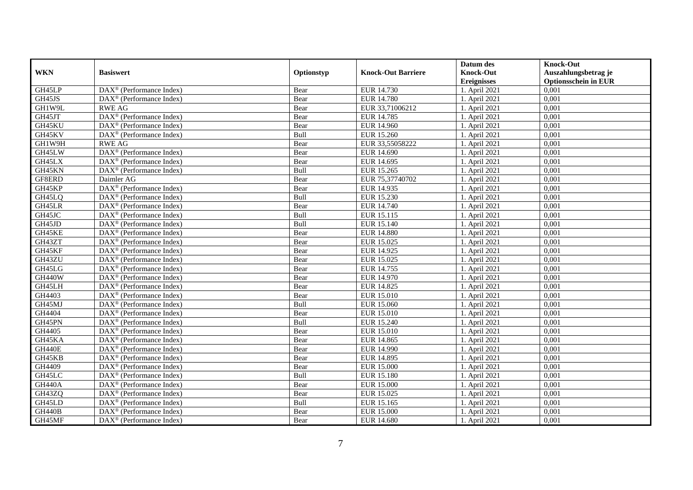|               |                                                         |            |                           | Datum des          | <b>Knock-Out</b>            |
|---------------|---------------------------------------------------------|------------|---------------------------|--------------------|-----------------------------|
| <b>WKN</b>    | <b>Basiswert</b>                                        | Optionstyp | <b>Knock-Out Barriere</b> | <b>Knock-Out</b>   | Auszahlungsbetrag je        |
|               |                                                         |            |                           | <b>Ereignisses</b> | <b>Optionsschein in EUR</b> |
| GH45LP        | DAX <sup>®</sup> (Performance Index)                    | Bear       | EUR 14.730                | 1. April 2021      | 0,001                       |
| GH45JS        | $\overline{\text{DAX}}^{\textcirc}$ (Performance Index) | Bear       | <b>EUR 14.780</b>         | 1. April 2021      | 0,001                       |
| GH1W9L        | <b>RWE AG</b>                                           | Bear       | EUR 33,71006212           | 1. April 2021      | 0,001                       |
| GH45JT        | DAX <sup>®</sup> (Performance Index)                    | Bear       | EUR 14.785                | 1. April 2021      | 0,001                       |
| GH45KU        | DAX <sup>®</sup> (Performance Index)                    | Bear       | EUR 14.960                | 1. April 2021      | 0,001                       |
| GH45KV        | $DAX^{\circledR}$ (Performance Index)                   | Bull       | <b>EUR 15.260</b>         | 1. April 2021      | 0,001                       |
| GH1W9H        | <b>RWE AG</b>                                           | Bear       | EUR 33,55058222           | 1. April 2021      | 0,001                       |
| GH45LW        | DAX <sup>®</sup> (Performance Index)                    | Bear       | EUR 14.690                | 1. April 2021      | 0,001                       |
| GH45LX        | $DAX^{\circledR}$ (Performance Index)                   | Bear       | EUR 14.695                | 1. April 2021      | 0,001                       |
| GH45KN        | DAX <sup>®</sup> (Performance Index)                    | Bull       | EUR 15.265                | 1. April 2021      | 0,001                       |
| GF8ERD        | Daimler AG                                              | Bear       | EUR 75,37740702           | 1. April 2021      | 0,001                       |
| GH45KP        | DAX <sup>®</sup> (Performance Index)                    | Bear       | EUR 14.935                | 1. April 2021      | 0,001                       |
| GH45LQ        | $DAX^{\circledast}$ (Performance Index)                 | Bull       | EUR 15.230                | 1. April 2021      | 0,001                       |
| GH45LR        | $DAX^{\circledcirc}$ (Performance Index)                | Bear       | EUR 14.740                | 1. April 2021      | 0,001                       |
| GH45JC        | DAX <sup>®</sup> (Performance Index)                    | Bull       | EUR 15.115                | 1. April 2021      | 0,001                       |
| GH45JD        | DAX <sup>®</sup> (Performance Index)                    | Bull       | EUR 15.140                | 1. April 2021      | 0,001                       |
| GH45KE        | $DAX^{\circledR}$ (Performance Index)                   | Bear       | <b>EUR 14.880</b>         | 1. April 2021      | 0,001                       |
| GH43ZT        | $\overline{\text{DAX}^{\otimes}}$ (Performance Index)   | Bear       | EUR 15.025                | 1. April 2021      | 0,001                       |
| GH45KF        | $\text{DAX}^{\otimes}$ (Performance Index)              | Bear       | EUR 14.925                | 1. April 2021      | 0,001                       |
| GH43ZU        | $DAX^{\circledast}$ (Performance Index)                 | Bear       | EUR 15.025                | 1. April 2021      | 0,001                       |
| GH45LG        | $DAX^{\circledast}$ (Performance Index)                 | Bear       | EUR 14.755                | 1. April 2021      | 0,001                       |
| <b>GH440W</b> | $DAX^{\circledR}$ (Performance Index)                   | Bear       | EUR 14.970                | 1. April 2021      | 0,001                       |
| GH45LH        | $DAX^{\circledR}$ (Performance Index)                   | Bear       | EUR 14.825                | 1. April 2021      | 0,001                       |
| GH4403        | $DAX^{\circledR}$ (Performance Index)                   | Bear       | EUR 15.010                | 1. April 2021      | 0,001                       |
| GH45MJ        | $DAX^{\circledR}$ (Performance Index)                   | Bull       | EUR 15.060                | 1. April 2021      | 0,001                       |
| GH4404        | $\text{DAX}^{\otimes}$ (Performance Index)              | Bear       | EUR 15.010                | 1. April 2021      | 0,001                       |
| GH45PN        | DAX <sup>®</sup> (Performance Index)                    | Bull       | EUR 15.240                | 1. April 2021      | 0,001                       |
| GH4405        | $DAX^{\circledR}$ (Performance Index)                   | Bear       | EUR 15.010                | 1. April 2021      | 0,001                       |
| GH45KA        | $DAX^{\circledast}$ (Performance Index)                 | Bear       | EUR 14.865                | 1. April 2021      | 0,001                       |
| <b>GH440E</b> | $DAX^{\circledcirc}$ (Performance Index)                | Bear       | EUR 14.990                | 1. April 2021      | 0.001                       |
| GH45KB        | $DAX^{\circledR}$ (Performance Index)                   | Bear       | EUR 14.895                | 1. April 2021      | 0,001                       |
| GH4409        | $DAX^{\circledR}$ (Performance Index)                   | Bear       | <b>EUR 15.000</b>         | 1. April 2021      | 0,001                       |
| GH45LC        | $DAX^{\circledR}$ (Performance Index)                   | Bull       | <b>EUR 15.180</b>         | 1. April 2021      | 0,001                       |
| <b>GH440A</b> | DAX <sup>®</sup> (Performance Index)                    | Bear       | <b>EUR 15.000</b>         | 1. April 2021      | 0,001                       |
| GH43ZQ        | DAX <sup>®</sup> (Performance Index)                    | Bear       | EUR 15.025                | 1. April 2021      | 0,001                       |
| GH45LD        | $DAX^{\circledcirc}$ (Performance Index)                | Bull       | EUR 15.165                | 1. April 2021      | 0,001                       |
| <b>GH440B</b> | $DAX^{\circledast}$ (Performance Index)                 | Bear       | <b>EUR 15.000</b>         | 1. April 2021      | 0,001                       |
| GH45MF        | DAX <sup>®</sup> (Performance Index)                    | Bear       | <b>EUR 14.680</b>         | 1. April 2021      | 0,001                       |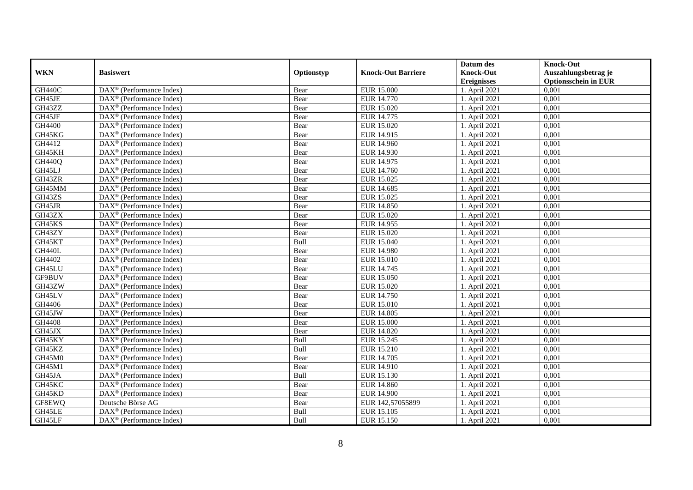|               |                                                         |            |                           | Datum des          | <b>Knock-Out</b>            |
|---------------|---------------------------------------------------------|------------|---------------------------|--------------------|-----------------------------|
| <b>WKN</b>    | <b>Basiswert</b>                                        | Optionstyp | <b>Knock-Out Barriere</b> | <b>Knock-Out</b>   | Auszahlungsbetrag je        |
|               |                                                         |            |                           | <b>Ereignisses</b> | <b>Optionsschein in EUR</b> |
| <b>GH440C</b> | DAX <sup>®</sup> (Performance Index)                    | Bear       | <b>EUR 15.000</b>         | 1. April 2021      | 0,001                       |
| GH45JE        | $DAX^{\circledR}$ (Performance Index)                   | Bear       | <b>EUR 14.770</b>         | 1. April 2021      | 0,001                       |
| GH43ZZ        | $DAX^{\circledast}$ (Performance Index)                 | Bear       | EUR 15.020                | 1. April 2021      | 0,001                       |
| GH45JF        | $DAX^{\circledast}$ (Performance Index)                 | Bear       | EUR 14.775                | 1. April 2021      | 0,001                       |
| GH4400        | $\overline{\text{DAX}^{\otimes}}$ (Performance Index)   | Bear       | EUR 15.020                | 1. April 2021      | 0,001                       |
| GH45KG        | $DAX^{\circledR}$ (Performance Index)                   | Bear       | EUR 14.915                | 1. April 2021      | 0,001                       |
| GH4412        | $DAX^{\circledR}$ (Performance Index)                   | Bear       | EUR 14.960                | 1. April 2021      | 0,001                       |
| GH45KH        | DAX <sup>®</sup> (Performance Index)                    | Bear       | EUR 14.930                | 1. April 2021      | 0,001                       |
| <b>GH440Q</b> | DAX <sup>®</sup> (Performance Index)                    | Bear       | EUR 14.975                | 1. April 2021      | 0,001                       |
| GH45LJ        | $DAX^{\circledast}$ (Performance Index)                 | Bear       | EUR 14.760                | 1. April 2021      | 0,001                       |
| GH43ZR        | DAX <sup>®</sup> (Performance Index)                    | Bear       | EUR 15.025                | 1. April 2021      | 0,001                       |
| GH45MM        | DAX <sup>®</sup> (Performance Index)                    | Bear       | EUR 14.685                | 1. April 2021      | 0,001                       |
| GH43ZS        | $DAX^{\circledast}$ (Performance Index)                 | Bear       | EUR 15.025                | 1. April 2021      | 0,001                       |
| GH45JR        | $DAX^{\circledcirc}$ (Performance Index)                | Bear       | <b>EUR 14.850</b>         | 1. April 2021      | 0,001                       |
| GH43ZX        | DAX <sup>®</sup> (Performance Index)                    | Bear       | EUR 15.020                | 1. April 2021      | 0,001                       |
| GH45KS        | DAX <sup>®</sup> (Performance Index)                    | Bear       | EUR 14.955                | 1. April 2021      | 0,001                       |
| GH43ZY        | $DAX^{\circledR}$ (Performance Index)                   | Bear       | EUR 15.020                | 1. April 2021      | 0,001                       |
| GH45KT        | DAX <sup>®</sup> (Performance Index)                    | Bull       | <b>EUR 15.040</b>         | 1. April 2021      | 0,001                       |
| <b>GH440L</b> | $\text{DAX}^{\otimes}$ (Performance Index)              | Bear       | <b>EUR 14.980</b>         | 1. April 2021      | 0,001                       |
| GH4402        | $DAX^{\circledast}$ (Performance Index)                 | Bear       | EUR 15.010                | 1. April 2021      | 0,001                       |
| GH45LU        | $DAX^{\circledast}$ (Performance Index)                 | Bear       | EUR 14.745                | 1. April 2021      | 0,001                       |
| GF9BUV        | $DAX^{\circledcirc}$ (Performance Index)                | Bear       | EUR 15.050                | 1. April 2021      | 0,001                       |
| GH43ZW        | $DAX^{\circledR}$ (Performance Index)                   | Bear       | EUR 15.020                | 1. April 2021      | 0,001                       |
| GH45LV        | $DAX^{\circledR}$ (Performance Index)                   | Bear       | <b>EUR 14.750</b>         | 1. April 2021      | 0,001                       |
| GH4406        | $DAX^{\circledR}$ (Performance Index)                   | Bear       | <b>EUR 15.010</b>         | 1. April 2021      | 0,001                       |
| GH45JW        | $\text{DAX}^{\otimes}$ (Performance Index)              | Bear       | EUR 14.805                | 1. April 2021      | 0,001                       |
| GH4408        | DAX <sup>®</sup> (Performance Index)                    | Bear       | <b>EUR 15.000</b>         | 1. April 2021      | 0,001                       |
| GH45JX        | $DAX^{\circledR}$ (Performance Index)                   | Bear       | EUR 14.820                | 1. April 2021      | 0,001                       |
| GH45KY        | $DAX^{\circledast}$ (Performance Index)                 | Bull       | EUR 15.245                | 1. April 2021      | 0,001                       |
| GH45KZ        | $DAX^{\circledcirc}$ (Performance Index)                | Bull       | EUR 15.210                | 1. April 2021      | 0.001                       |
| GH45M0        | $DAX^{\circledR}$ (Performance Index)                   | Bear       | EUR 14.705                | 1. April 2021      | 0,001                       |
| GH45M1        | $DAX^{\circledR}$ (Performance Index)                   | Bear       | EUR 14.910                | 1. April 2021      | 0,001                       |
| GH45JA        | $\overline{\text{DAX}^{\otimes}}$ (Performance Index)   | Bull       | EUR 15.130                | 1. April 2021      | 0,001                       |
| GH45KC        | $\overline{\text{DAX}}^{\textcirc}$ (Performance Index) | Bear       | <b>EUR 14.860</b>         | 1. April 2021      | 0,001                       |
| GH45KD        | DAX <sup>®</sup> (Performance Index)                    | Bear       | <b>EUR 14.900</b>         | 1. April 2021      | 0,001                       |
| GF8EWQ        | Deutsche Börse AG                                       | Bear       | EUR 142,57055899          | 1. April 2021      | 0,001                       |
| GH45LE        | $DAX^{\circledast}$ (Performance Index)                 | Bull       | EUR 15.105                | 1. April 2021      | 0,001                       |
| GH45LF        | DAX <sup>®</sup> (Performance Index)                    | Bull       | EUR 15.150                | 1. April 2021      | 0,001                       |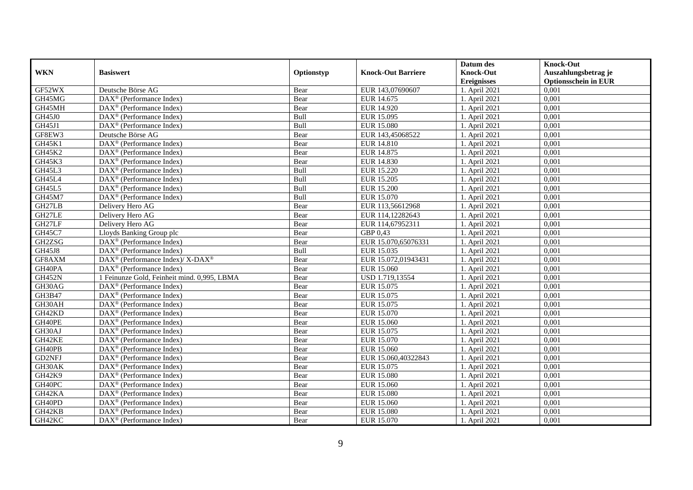|               |                                                              |            |                           | Datum des          | <b>Knock-Out</b>            |
|---------------|--------------------------------------------------------------|------------|---------------------------|--------------------|-----------------------------|
| <b>WKN</b>    | <b>Basiswert</b>                                             | Optionstyp | <b>Knock-Out Barriere</b> | <b>Knock-Out</b>   | Auszahlungsbetrag je        |
|               |                                                              |            |                           | <b>Ereignisses</b> | <b>Optionsschein in EUR</b> |
| GF52WX        | Deutsche Börse AG                                            | Bear       | EUR 143,07690607          | 1. April 2021      | 0,001                       |
| GH45MG        | $DAX^{\circledR}$ (Performance Index)                        | Bear       | EUR 14.675                | 1. April 2021      | 0,001                       |
| GH45MH        | $DAX^{\circledcirc}$ (Performance Index)                     | Bear       | EUR 14.920                | 1. April 2021      | 0,001                       |
| <b>GH45J0</b> | $DAX^{\circledast}$ (Performance Index)                      | Bull       | EUR 15.095                | 1. April 2021      | 0,001                       |
| GH45J1        | DAX <sup>®</sup> (Performance Index)                         | Bull       | <b>EUR 15.080</b>         | 1. April 2021      | 0,001                       |
| GF8EW3        | Deutsche Börse AG                                            | Bear       | EUR 143,45068522          | 1. April 2021      | 0,001                       |
| GH45K1        | $\overline{\text{DAX}}^{\textcircled{}}$ (Performance Index) | Bear       | EUR 14.810                | 1. April 2021      | 0,001                       |
| GH45K2        | $DAX^{\circledast}$ (Performance Index)                      | Bear       | EUR 14.875                | 1. April 2021      | 0,001                       |
| GH45K3        | $DAX^{\circledR}$ (Performance Index)                        | Bear       | <b>EUR 14.830</b>         | 1. April 2021      | 0,001                       |
| GH45L3        | $DAX^{\circledast}$ (Performance Index)                      | Bull       | <b>EUR 15.220</b>         | 1. April 2021      | 0,001                       |
| GH45L4        | DAX <sup>®</sup> (Performance Index)                         | Bull       | EUR 15.205                | 1. April 2021      | 0,001                       |
| GH45L5        | $\overline{\text{DAX}^{\otimes}}$ (Performance Index)        | Bull       | <b>EUR 15.200</b>         | 1. April 2021      | 0,001                       |
| GH45M7        | $DAX^{\circledast}$ (Performance Index)                      | Bull       | EUR 15.070                | 1. April 2021      | 0.001                       |
| GH27LB        | Delivery Hero AG                                             | Bear       | EUR 113,56612968          | 1. April 2021      | 0,001                       |
| GH27LE        | Delivery Hero AG                                             | Bear       | EUR 114,12282643          | 1. April 2021      | 0,001                       |
| GH27LF        | Delivery Hero AG                                             | Bear       | EUR 114,67952311          | 1. April 2021      | 0,001                       |
| GH45C7        | Lloyds Banking Group plc                                     | Bear       | GBP 0,43                  | 1. April 2021      | 0,001                       |
| GH2ZSG        | $DAX^{\circledcirc}$ (Performance Index)                     | Bear       | EUR 15.070,65076331       | 1. April 2021      | 0.001                       |
| <b>GH45J8</b> | $DAX^{\circledR}$ (Performance Index)                        | Bull       | EUR 15.035                | 1. April 2021      | 0,001                       |
| GF8AXM        | DAX <sup>®</sup> (Performance Index)/ X-DAX <sup>®</sup>     | Bear       | EUR 15.072,01943431       | 1. April 2021      | 0,001                       |
| GH40PA        | $DAX^{\circledR}$ (Performance Index)                        | Bear       | EUR 15.060                | 1. April 2021      | 0,001                       |
| <b>GH452N</b> | 1 Feinunze Gold, Feinheit mind. 0,995, LBMA                  | Bear       | USD 1.719,13554           | 1. April 2021      | 0,001                       |
| GH30AG        | $DAX^{\circledast}$ (Performance Index)                      | Bear       | EUR 15.075                | 1. April 2021      | 0,001                       |
| GH3B47        | DAX <sup>®</sup> (Performance Index)                         | Bear       | EUR 15.075                | 1. April 2021      | 0,001                       |
| GH30AH        | $DAX^{\circledast}$ (Performance Index)                      | Bear       | EUR 15.075                | 1. April 2021      | 0,001                       |
| GH42KD        | $DAX^{\circledast}$ (Performance Index)                      | Bear       | EUR 15.070                | 1. April 2021      | 0,001                       |
| GH40PE        | DAX <sup>®</sup> (Performance Index)                         | Bear       | EUR 15.060                | 1. April 2021      | 0,001                       |
| GH30AJ        | $DAX^{\circledR}$ (Performance Index)                        | Bear       | EUR 15.075                | 1. April 2021      | 0,001                       |
| GH42KE        | $DAX^{\circledR}$ (Performance Index)                        | Bear       | EUR 15.070                | 1. April 2021      | 0,001                       |
| GH40PB        | $DAX^{\circledR}$ (Performance Index)                        | Bear       | EUR 15.060                | 1. April 2021      | 0,001                       |
| GD2NFJ        | DAX <sup>®</sup> (Performance Index)                         | Bear       | EUR 15.060,40322843       | 1. April 2021      | 0,001                       |
| GH30AK        | $\overline{\text{DAX}}^{\textcircled{}}$ (Performance Index) | Bear       | EUR 15.075                | 1. April 2021      | 0.001                       |
| GH42K9        | $DAX^{\circledR}$ (Performance Index)                        | Bear       | <b>EUR 15.080</b>         | 1. April 2021      | 0,001                       |
| GH40PC        | DAX <sup>®</sup> (Performance Index)                         | Bear       | EUR 15.060                | 1. April 2021      | 0,001                       |
| GH42KA        | $DAX^{\circledast}$ (Performance Index)                      | Bear       | <b>EUR 15.080</b>         | 1. April 2021      | 0,001                       |
| GH40PD        | $DAX^{\circledast}$ (Performance Index)                      | Bear       | EUR 15.060                | 1. April 2021      | 0,001                       |
| GH42KB        | $DAX^{\circledast}$ (Performance Index)                      | Bear       | <b>EUR 15.080</b>         | 1. April 2021      | 0,001                       |
| GH42KC        | $\text{DAX}^{\otimes}$ (Performance Index)                   | Bear       | EUR 15.070                | 1. April 2021      | 0,001                       |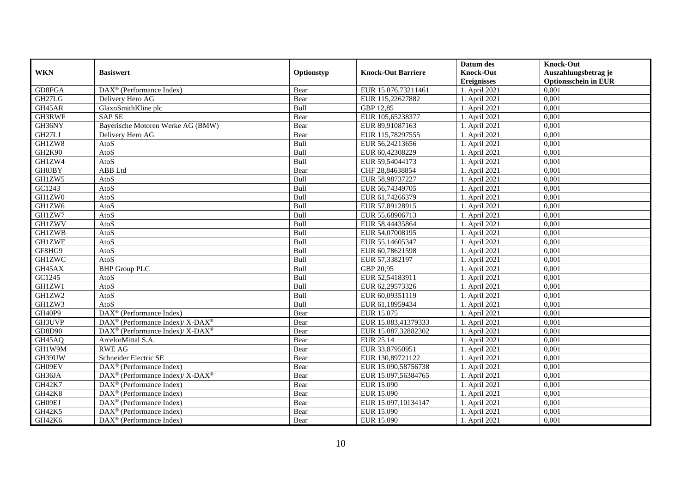|               |                                                                                         |            |                           | Datum des          | <b>Knock-Out</b>            |
|---------------|-----------------------------------------------------------------------------------------|------------|---------------------------|--------------------|-----------------------------|
| <b>WKN</b>    | <b>Basiswert</b>                                                                        | Optionstyp | <b>Knock-Out Barriere</b> | <b>Knock-Out</b>   | Auszahlungsbetrag je        |
|               |                                                                                         |            |                           | <b>Ereignisses</b> | <b>Optionsschein in EUR</b> |
| GD8FGA        | $\overline{\text{DAX}}^{\textcircled{}}$ (Performance Index)                            | Bear       | EUR 15.076,73211461       | 1. April 2021      | 0,001                       |
| GH27LG        | Delivery Hero AG                                                                        | Bear       | EUR 115,22627882          | 1. April 2021      | 0,001                       |
| GH45AR        | GlaxoSmithKline plc                                                                     | Bull       | GBP 12,85                 | 1. April 2021      | 0,001                       |
| GH3RWF        | <b>SAP SE</b>                                                                           | Bear       | EUR 105,65238377          | 1. April 2021      | 0,001                       |
| GH36NY        | Bayerische Motoren Werke AG (BMW)                                                       | Bear       | EUR 89,91087163           | 1. April 2021      | 0,001                       |
| GH27LJ        | Delivery Hero AG                                                                        | Bear       | EUR 115,78297555          | 1. April 2021      | 0,001                       |
| GH1ZW8        | AtoS                                                                                    | Bull       | EUR 56,24213656           | 1. April 2021      | 0,001                       |
| GH2K90        | AtoS                                                                                    | Bull       | EUR 60,42308229           | 1. April 2021      | 0,001                       |
| GH1ZW4        | AtoS                                                                                    | Bull       | EUR 59,54044173           | 1. April 2021      | 0,001                       |
| <b>GH0JBY</b> | ABB Ltd                                                                                 | Bear       | CHF 28,84638854           | 1. April 2021      | 0,001                       |
| GH1ZW5        | AtoS                                                                                    | Bull       | EUR 58,98737227           | 1. April 2021      | 0.001                       |
| GC1243        | AtoS                                                                                    | Bull       | EUR 56,74349705           | 1. April 2021      | 0,001                       |
| GH1ZW0        | AtoS                                                                                    | Bull       | EUR 61,74266379           | 1. April 2021      | 0,001                       |
| GH1ZW6        | AtoS                                                                                    | Bull       | EUR 57,89128915           | 1. April 2021      | 0,001                       |
| GH1ZW7        | AtoS                                                                                    | Bull       | EUR 55,68906713           | 1. April 2021      | 0,001                       |
| <b>GH1ZWV</b> | AtoS                                                                                    | Bull       | EUR 58,44435864           | 1. April 2021      | 0,001                       |
| <b>GH1ZWB</b> | AtoS                                                                                    | Bull       | EUR 54,07008195           | 1. April 2021      | 0,001                       |
| <b>GH1ZWE</b> | AtoS                                                                                    | Bull       | EUR 55,14605347           | 1. April 2021      | 0.001                       |
| GF8HG9        | AtoS                                                                                    | Bull       | EUR 60,78621598           | 1. April 2021      | 0,001                       |
| <b>GH1ZWC</b> | AtoS                                                                                    | Bull       | EUR 57,3382197            | 1. April 2021      | 0,001                       |
| GH45AX        | <b>BHP</b> Group PLC                                                                    | Bull       | GBP 20,95                 | 1. April 2021      | 0.001                       |
| GC1245        | AtoS                                                                                    | Bull       | EUR 52,54183911           | 1. April 2021      | 0,001                       |
| GH1ZW1        | AtoS                                                                                    | Bull       | EUR 62,29573326           | 1. April 2021      | 0,001                       |
| GH1ZW2        | AtoS                                                                                    | Bull       | EUR 60,09351119           | 1. April 2021      | 0,001                       |
| GH1ZW3        | AtoS                                                                                    | Bull       | EUR 61.18959434           | 1. April 2021      | 0.001                       |
| GH40P9        | DAX <sup>®</sup> (Performance Index)                                                    | Bear       | EUR 15.075                | 1. April 2021      | 0,001                       |
| GH3UVP        | DAX <sup>®</sup> (Performance Index)/ X-DAX <sup>®</sup>                                | Bear       | EUR 15.083,41379333       | 1. April 2021      | 0,001                       |
| GD8D90        | DAX <sup>®</sup> (Performance Index)/ X-DAX <sup>®</sup>                                | Bear       | EUR 15.087,32882302       | 1. April 2021      | 0,001                       |
| GH45AQ        | ArcelorMittal S.A.                                                                      | Bear       | EUR 25,14                 | 1. April 2021      | 0,001                       |
| GH1W9M        | <b>RWE AG</b>                                                                           | Bear       | EUR 33,87950951           | 1. April 2021      | 0,001                       |
| GH39UW        | Schneider Electric SE                                                                   | Bear       | EUR 130,89721122          | 1. April 2021      | 0,001                       |
| GH09EV        | $DAX^{\circledR}$ (Performance Index)                                                   | Bear       | EUR 15.090,58756738       | 1. April 2021      | 0.001                       |
| GH36JA        | $\text{DAX}^{\textcircled{\tiny{\textcircled{\tiny \dag}}}}$ (Performance Index)/X-DAX® | Bear       | EUR 15.097,56384765       | 1. April 2021      | 0,001                       |
| <b>GH42K7</b> | DAX <sup>®</sup> (Performance Index)                                                    | Bear       | <b>EUR 15.090</b>         | 1. April 2021      | 0,001                       |
| GH42K8        | DAX <sup>®</sup> (Performance Index)                                                    | Bear       | EUR 15.090                | 1. April 2021      | 0,001                       |
| GH09EJ        | $\text{DAX}^{\circledast}$ (Performance Index)                                          | Bear       | EUR 15.097,10134147       | 1. April 2021      | 0,001                       |
| GH42K5        | $DAX^{\circledast}$ (Performance Index)                                                 | Bear       | EUR 15.090                | 1. April 2021      | 0,001                       |
| GH42K6        | DAX <sup>®</sup> (Performance Index)                                                    | Bear       | EUR 15.090                | 1. April 2021      | 0,001                       |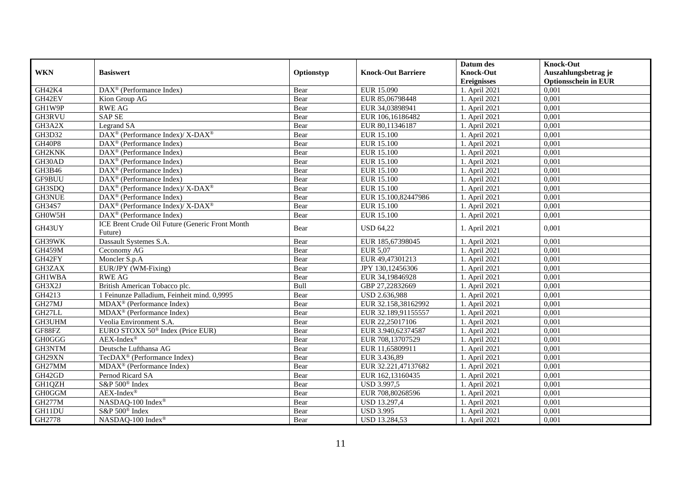|               |                                                          |            |                           | Datum des          | <b>Knock-Out</b>            |
|---------------|----------------------------------------------------------|------------|---------------------------|--------------------|-----------------------------|
| <b>WKN</b>    | <b>Basiswert</b>                                         | Optionstyp | <b>Knock-Out Barriere</b> | <b>Knock-Out</b>   | Auszahlungsbetrag je        |
|               |                                                          |            |                           | <b>Ereignisses</b> | <b>Optionsschein in EUR</b> |
| GH42K4        | $DAX^{\circledast}$ (Performance Index)                  | Bear       | EUR 15.090                | 1. April 2021      | 0,001                       |
| GH42EV        | Kion Group AG                                            | Bear       | EUR 85,06798448           | 1. April 2021      | 0,001                       |
| GH1W9P        | <b>RWE AG</b>                                            | Bear       | EUR 34,03898941           | 1. April 2021      | 0,001                       |
| GH3RVU        | <b>SAP SE</b>                                            | Bear       | EUR 106,16186482          | 1. April 2021      | 0,001                       |
| GH3A2X        | Legrand SA                                               | Bear       | EUR 80,11346187           | 1. April 2021      | 0,001                       |
| GH3D32        | DAX <sup>®</sup> (Performance Index)/ X-DAX <sup>®</sup> | Bear       | <b>EUR 15.100</b>         | 1. April 2021      | 0,001                       |
| <b>GH40P8</b> | $DAX^{\circledast}$ (Performance Index)                  | Bear       | <b>EUR 15.100</b>         | 1. April 2021      | 0,001                       |
| GH2KNK        | DAX <sup>®</sup> (Performance Index)                     | Bear       | <b>EUR 15.100</b>         | 1. April 2021      | 0,001                       |
| GH30AD        | $DAX^{\circledcirc}$ (Performance Index)                 | Bear       | <b>EUR 15.100</b>         | 1. April 2021      | 0.001                       |
| GH3B46        | $\text{DAX}^{\otimes}$ (Performance Index)               | Bear       | <b>EUR 15.100</b>         | 1. April 2021      | 0,001                       |
| GF9BUU        | DAX <sup>®</sup> (Performance Index)                     | Bear       | <b>EUR 15.100</b>         | 1. April 2021      | 0,001                       |
| GH3SDQ        | DAX <sup>®</sup> (Performance Index)/X-DAX <sup>®</sup>  | Bear       | <b>EUR 15.100</b>         | 1. April 2021      | 0,001                       |
| <b>GH3NUE</b> | $DAX^{\circledR}$ (Performance Index)                    | Bear       | EUR 15.100,82447986       | 1. April 2021      | 0,001                       |
| GH34S7        | DAX <sup>®</sup> (Performance Index)/ X-DAX <sup>®</sup> | Bear       | EUR 15.100                | 1. April 2021      | 0,001                       |
| GH0W5H        | $DAX^{\circledcirc}$ (Performance Index)                 | Bear       | <b>EUR 15.100</b>         | 1. April 2021      | 0.001                       |
| GH43UY        | ICE Brent Crude Oil Future (Generic Front Month          | Bear       | <b>USD 64,22</b>          | 1. April 2021      | 0,001                       |
|               | Future)                                                  |            |                           |                    |                             |
| GH39WK        | Dassault Systemes S.A.                                   | Bear       | EUR 185,67398045          | 1. April 2021      | 0,001                       |
| <b>GH459M</b> | Ceconomy AG                                              | Bear       | <b>EUR 5,07</b>           | 1. April 2021      | 0,001                       |
| GH42FY        | Moncler S.p.A                                            | Bear       | EUR 49,47301213           | 1. April 2021      | 0,001                       |
| GH3ZAX        | EUR/JPY (WM-Fixing)                                      | Bear       | JPY 130,12456306          | 1. April 2021      | 0.001                       |
| <b>GH1WBA</b> | <b>RWE AG</b>                                            | Bear       | EUR 34,19846928           | 1. April 2021      | 0,001                       |
| GH3X2J        | British American Tobacco plc.                            | Bull       | GBP 27,22832669           | 1. April 2021      | 0,001                       |
| GH4213        | 1 Feinunze Palladium, Feinheit mind. 0,9995              | Bear       | USD 2.636,988             | 1. April 2021      | 0.001                       |
| GH27MJ        | $MDAX^{\circledR}$ (Performance Index)                   | Bear       | EUR 32.158,38162992       | 1. April 2021      | 0,001                       |
| GH27LL        | MDAX <sup>®</sup> (Performance Index)                    | Bear       | EUR 32.189,91155557       | 1. April 2021      | 0,001                       |
| GH3UHM        | Veolia Environment S.A.                                  | Bear       | EUR 22,25017106           | 1. April $2021$    | 0,001                       |
| GF88FZ        | EURO STOXX 50 <sup>®</sup> Index (Price EUR)             | Bear       | EUR 3.940,62374587        | 1. April 2021      | 0,001                       |
| GH0GGG        | $AEX-Index^{\circledR}$                                  | Bear       | EUR 708,13707529          | 1. April 2021      | 0,001                       |
| GH3NTM        | Deutsche Lufthansa AG                                    | Bear       | EUR 11,65809911           | 1. April 2021      | 0,001                       |
| GH29XN        | TecDAX <sup>®</sup> (Performance Index)                  | Bear       | EUR 3.436,89              | 1. April 2021      | 0,001                       |
| GH27MM        | MDAX <sup>®</sup> (Performance Index)                    | Bear       | EUR 32.221,47137682       | 1. April 2021      | 0,001                       |
| GH42GD        | Pernod Ricard SA                                         | Bear       | EUR 162,13160435          | 1. April 2021      | 0.001                       |
| GH1QZH        | S&P 500 <sup>®</sup> Index                               | Bear       | USD 3.997,5               | 1. April 2021      | 0,001                       |
| <b>GH0GGM</b> | $AEX-Index^{\circledR}$                                  | Bear       | EUR 708,80268596          | 1. April 2021      | 0,001                       |
| <b>GH277M</b> | NASDAQ-100 Index®                                        | Bear       | USD 13.297,4              | 1. April 2021      | 0,001                       |
| GH11DU        | S&P 500 <sup>®</sup> Index                               | Bear       | <b>USD 3.995</b>          | 1. April 2021      | 0,001                       |
| GH2778        | NASDAQ-100 Index®                                        | Bear       | USD 13.284,53             | 1. April 2021      | 0,001                       |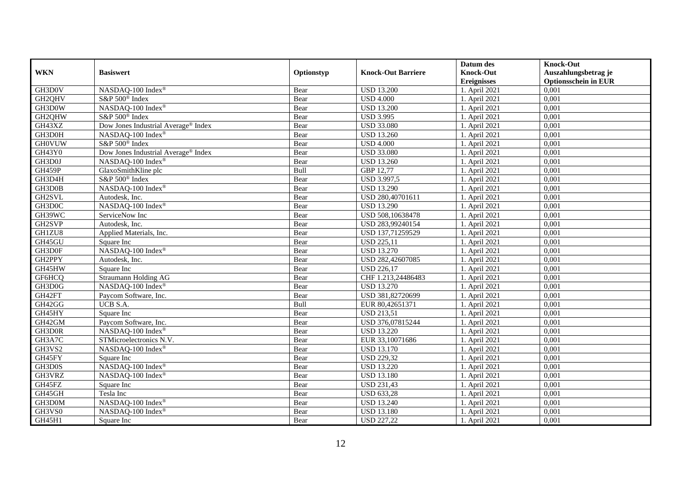|               |                                     |            |                           | Datum des          | <b>Knock-Out</b>            |
|---------------|-------------------------------------|------------|---------------------------|--------------------|-----------------------------|
| <b>WKN</b>    | <b>Basiswert</b>                    | Optionstyp | <b>Knock-Out Barriere</b> | <b>Knock-Out</b>   | Auszahlungsbetrag je        |
|               |                                     |            |                           | <b>Ereignisses</b> | <b>Optionsschein in EUR</b> |
| GH3D0V        | NASDAQ-100 Index®                   | Bear       | <b>USD 13.200</b>         | 1. April 2021      | 0,001                       |
| GH2QHV        | S&P 500 <sup>®</sup> Index          | Bear       | <b>USD 4.000</b>          | 1. April 2021      | 0,001                       |
| GH3D0W        | NASDAQ-100 Index®                   | Bear       | <b>USD 13.200</b>         | 1. April 2021      | 0,001                       |
| GH2QHW        | S&P 500 <sup>®</sup> Index          | Bear       | <b>USD 3.995</b>          | 1. April 2021      | 0,001                       |
| GH43XZ        | Dow Jones Industrial Average® Index | Bear       | <b>USD 33.080</b>         | 1. April 2021      | 0,001                       |
| GH3D0H        | NASDAQ-100 Index®                   | Bear       | <b>USD 13.260</b>         | 1. April 2021      | 0,001                       |
| <b>GH0VUW</b> | S&P 500 <sup>®</sup> Index          | Bear       | <b>USD 4.000</b>          | 1. April 2021      | 0,001                       |
| <b>GH43Y0</b> | Dow Jones Industrial Average® Index | Bear       | <b>USD 33.080</b>         | 1. April 2021      | 0,001                       |
| GH3D0J        | NASDAQ-100 Index®                   | Bear       | <b>USD 13.260</b>         | 1. April 2021      | 0,001                       |
| GH459P        | GlaxoSmithKline plc                 | Bull       | GBP 12,77                 | 1. April 2021      | 0,001                       |
| GH3D4H        | S&P 500 <sup>®</sup> Index          | Bear       | USD 3.997,5               | 1. April 2021      | 0,001                       |
| GH3D0B        | NASDAQ-100 Index®                   | Bear       | <b>USD 13.290</b>         | 1. April 2021      | 0,001                       |
| GH2SVL        | Autodesk, Inc.                      | Bear       | USD 280,40701611          | 1. April 2021      | 0,001                       |
| GH3D0C        | NASDAQ-100 Index®                   | Bear       | <b>USD 13.290</b>         | 1. April 2021      | 0,001                       |
| GH39WC        | ServiceNow Inc                      | Bear       | USD 508,10638478          | 1. April 2021      | 0,001                       |
| GH2SVP        | Autodesk, Inc.                      | Bear       | USD 283,99240154          | 1. April 2021      | 0,001                       |
| GH1ZU8        | Applied Materials, Inc.             | Bear       | USD 137,71259529          | 1. April 2021      | 0,001                       |
| GH45GU        | Square Inc                          | Bear       | <b>USD 225.11</b>         | 1. April 2021      | 0.001                       |
| GH3D0F        | NASDAQ-100 Index®                   | Bear       | <b>USD 13.270</b>         | 1. April 2021      | 0,001                       |
| GH2PPY        | Autodesk, Inc.                      | Bear       | USD 282,42607085          | 1. April 2021      | 0,001                       |
| GH45HW        | Square Inc                          | Bear       | <b>USD 226,17</b>         | 1. April 2021      | 0,001                       |
| GF6HCQ        | Straumann Holding AG                | Bear       | CHF 1.213,24486483        | 1. April 2021      | 0,001                       |
| GH3D0G        | NASDAQ-100 Index®                   | Bear       | <b>USD 13.270</b>         | 1. April 2021      | 0,001                       |
| GH42FT        | Paycom Software, Inc.               | Bear       | USD 381,82720699          | 1. April 2021      | 0,001                       |
| GH42GG        | UCB S.A.                            | Bull       | EUR 80,42651371           | 1. April 2021      | 0,001                       |
| GH45HY        | Square Inc                          | Bear       | <b>USD 213,51</b>         | 1. April 2021      | 0,001                       |
| GH42GM        | Paycom Software, Inc.               | Bear       | USD 376,07815244          | 1. April 2021      | 0,001                       |
| GH3D0R        | NASDAQ-100 Index®                   | Bear       | <b>USD 13.220</b>         | 1. April 2021      | 0,001                       |
| GH3A7C        | STMicroelectronics N.V.             | Bear       | EUR 33,10071686           | 1. April 2021      | 0,001                       |
| GH3VS2        | NASDAQ-100 Index®                   | Bear       | <b>USD 13.170</b>         | 1. April 2021      | 0,001                       |
| GH45FY        | Square Inc                          | Bear       | <b>USD 229,32</b>         | 1. April 2021      | 0,001                       |
| GH3D0S        | NASDAQ-100 Index®                   | Bear       | <b>USD 13.220</b>         | 1. April 2021      | 0.001                       |
| GH3VRZ        | NASDAQ-100 Index®                   | Bear       | <b>USD 13.180</b>         | 1. April 2021      | 0,001                       |
| GH45FZ        | Square Inc                          | Bear       | <b>USD 231,43</b>         | 1. April 2021      | 0,001                       |
| GH45GH        | Tesla Inc                           | Bear       | <b>USD 633,28</b>         | 1. April 2021      | 0,001                       |
| GH3D0M        | NASDAQ-100 Index®                   | Bear       | <b>USD 13.240</b>         | 1. April 2021      | 0,001                       |
| GH3VS0        | NASDAQ-100 Index®                   | Bear       | <b>USD 13.180</b>         | 1. April 2021      | 0,001                       |
| GH45H1        | Square Inc                          | Bear       | <b>USD 227,22</b>         | 1. April 2021      | 0,001                       |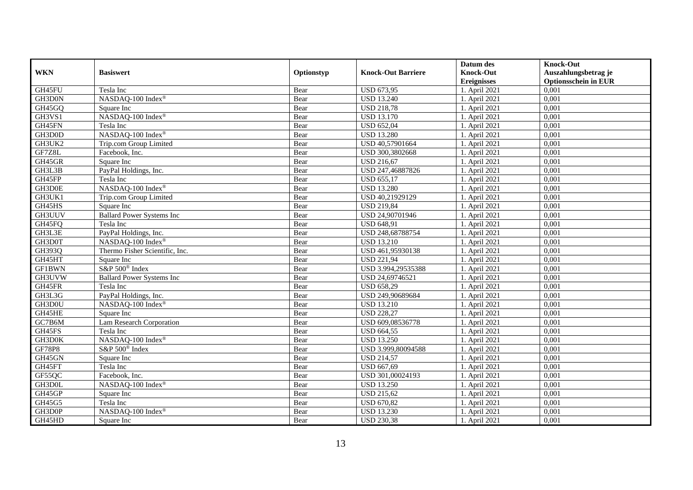|               |                                  |            |                           | Datum des          | <b>Knock-Out</b>            |
|---------------|----------------------------------|------------|---------------------------|--------------------|-----------------------------|
| <b>WKN</b>    | <b>Basiswert</b>                 | Optionstyp | <b>Knock-Out Barriere</b> | <b>Knock-Out</b>   | Auszahlungsbetrag je        |
|               |                                  |            |                           | <b>Ereignisses</b> | <b>Optionsschein in EUR</b> |
| GH45FU        | Tesla Inc                        | Bear       | <b>USD 673,95</b>         | 1. April 2021      | 0,001                       |
| GH3D0N        | NASDAQ-100 Index®                | Bear       | <b>USD 13.240</b>         | 1. April 2021      | 0,001                       |
| GH45GQ        | Square Inc                       | Bear       | <b>USD 218,78</b>         | 1. April 2021      | 0,001                       |
| GH3VS1        | NASDAQ-100 Index®                | Bear       | <b>USD 13.170</b>         | 1. April 2021      | 0,001                       |
| GH45FN        | Tesla Inc                        | Bear       | <b>USD 652,04</b>         | 1. April 2021      | 0,001                       |
| GH3D0D        | NASDAQ-100 Index®                | Bear       | <b>USD 13.280</b>         | 1. April 2021      | 0,001                       |
| GH3UK2        | Trip.com Group Limited           | Bear       | USD 40,57901664           | 1. April 2021      | 0,001                       |
| GF7Z8L        | Facebook, Inc.                   | Bear       | USD 300,3802668           | 1. April 2021      | 0,001                       |
| GH45GR        | Square Inc                       | Bear       | <b>USD 216,67</b>         | 1. April 2021      | 0,001                       |
| GH3L3B        | PayPal Holdings, Inc.            | Bear       | USD 247,46887826          | 1. April 2021      | 0,001                       |
| GH45FP        | Tesla Inc                        | Bear       | <b>USD 655,17</b>         | 1. April 2021      | 0,001                       |
| GH3D0E        | NASDAQ-100 Index®                | Bear       | <b>USD 13.280</b>         | 1. April 2021      | 0,001                       |
| GH3UK1        | Trip.com Group Limited           | Bear       | USD 40,21929129           | 1. April 2021      | 0.001                       |
| GH45HS        | Square Inc                       | Bear       | <b>USD 219,84</b>         | 1. April 2021      | 0,001                       |
| GH3UUV        | <b>Ballard Power Systems Inc</b> | Bear       | USD 24,90701946           | 1. April 2021      | 0,001                       |
| GH45FQ        | Tesla Inc                        | Bear       | <b>USD 648,91</b>         | 1. April 2021      | 0,001                       |
| GH3L3E        | PayPal Holdings, Inc.            | Bear       | USD 248,68788754          | 1. April 2021      | 0,001                       |
| GH3D0T        | NASDAO-100 Index®                | Bear       | <b>USD 13.210</b>         | 1. April 2021      | 0.001                       |
| GH393Q        | Thermo Fisher Scientific, Inc.   | Bear       | USD 461,95930138          | 1. April 2021      | 0,001                       |
| GH45HT        | Square Inc                       | Bear       | <b>USD 221,94</b>         | 1. April 2021      | 0,001                       |
| <b>GF1BWN</b> | S&P 500 <sup>®</sup> Index       | Bear       | USD 3.994,29535388        | 1. April 2021      | 0,001                       |
| GH3UVW        | <b>Ballard Power Systems Inc</b> | Bear       | USD 24,69746521           | 1. April 2021      | 0,001                       |
| GH45FR        | Tesla Inc                        | Bear       | <b>USD 658,29</b>         | 1. April 2021      | 0,001                       |
| GH3L3G        | PayPal Holdings, Inc.            | Bear       | USD 249,90689684          | 1. April 2021      | 0,001                       |
| GH3D0U        | NASDAQ-100 Index®                | Bear       | <b>USD 13.210</b>         | 1. April 2021      | 0,001                       |
| GH45HE        | Square Inc                       | Bear       | <b>USD 228,27</b>         | 1. April 2021      | 0,001                       |
| GC7B6M        | Lam Research Corporation         | Bear       | USD 609,08536778          | 1. April 2021      | 0,001                       |
| GH45FS        | Tesla Inc                        | Bear       | <b>USD 664,55</b>         | 1. April 2021      | 0,001                       |
| GH3D0K        | NASDAQ-100 Index®                | Bear       | <b>USD 13.250</b>         | 1. April 2021      | 0,001                       |
| <b>GF78P8</b> | S&P 500 <sup>®</sup> Index       | Bear       | USD 3.999,80094588        | 1. April 2021      | 0,001                       |
| GH45GN        | Square Inc                       | Bear       | <b>USD 214,57</b>         | 1. April 2021      | 0,001                       |
| GH45FT        | Tesla Inc                        | Bear       | <b>USD 667,69</b>         | 1. April 2021      | 0.001                       |
| GF55QC        | Facebook, Inc.                   | Bear       | USD 301,00024193          | 1. April 2021      | 0,001                       |
| GH3D0L        | NASDAQ-100 Index®                | Bear       | <b>USD 13.250</b>         | 1. April 2021      | 0,001                       |
| GH45GP        | Square Inc                       | Bear       | <b>USD 215,62</b>         | 1. April 2021      | 0,001                       |
| GH45G5        | Tesla Inc                        | Bear       | <b>USD 670,82</b>         | 1. April 2021      | 0,001                       |
| GH3D0P        | NASDAQ-100 Index®                | Bear       | <b>USD 13.230</b>         | 1. April 2021      | 0,001                       |
| GH45HD        | Square Inc                       | Bear       | <b>USD 230,38</b>         | 1. April 2021      | 0,001                       |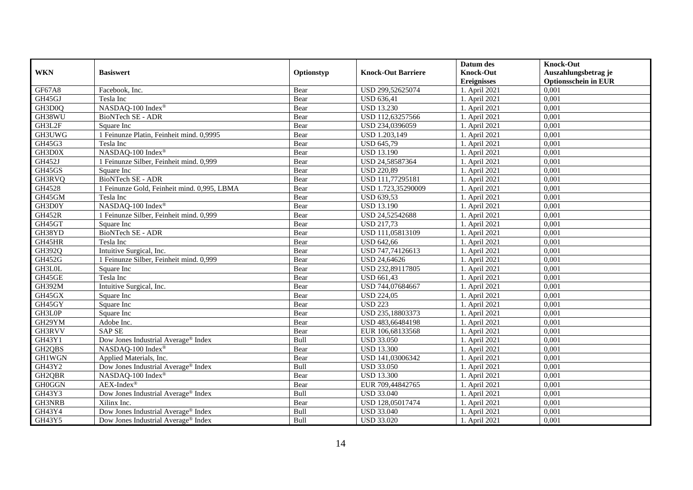|               |                                                 |            |                           | Datum des          | <b>Knock-Out</b>            |
|---------------|-------------------------------------------------|------------|---------------------------|--------------------|-----------------------------|
| <b>WKN</b>    | <b>Basiswert</b>                                | Optionstyp | <b>Knock-Out Barriere</b> | <b>Knock-Out</b>   | Auszahlungsbetrag je        |
|               |                                                 |            |                           | <b>Ereignisses</b> | <b>Optionsschein in EUR</b> |
| GF67A8        | Facebook, Inc.                                  | Bear       | USD 299,52625074          | 1. April 2021      | 0,001                       |
| GH45GJ        | Tesla Inc                                       | Bear       | <b>USD 636,41</b>         | 1. April 2021      | 0,001                       |
| GH3D0Q        | NASDAQ-100 Index®                               | Bear       | <b>USD 13.230</b>         | 1. April 2021      | 0,001                       |
| GH38WU        | <b>BioNTech SE - ADR</b>                        | Bear       | USD 112,63257566          | 1. April 2021      | 0,001                       |
| GH3L2F        | Square Inc                                      | Bear       | USD 234,0396059           | 1. April 2021      | 0.001                       |
| GH3UWG        | 1 Feinunze Platin, Feinheit mind. 0,9995        | Bear       | USD 1.203,149             | 1. April 2021      | 0,001                       |
| GH45G3        | Tesla Inc                                       | Bear       | <b>USD 645,79</b>         | 1. April 2021      | 0,001                       |
| GH3D0X        | NASDAQ-100 Index®                               | Bear       | <b>USD 13.190</b>         | 1. April 2021      | 0,001                       |
| GH452J        | 1 Feinunze Silber, Feinheit mind. 0,999         | Bear       | USD 24,58587364           | 1. April 2021      | 0,001                       |
| GH45GS        | Square Inc                                      | Bear       | <b>USD 220,89</b>         | 1. April 2021      | 0,001                       |
| GH3RVQ        | BioNTech SE - ADR                               | Bear       | USD 111,77295181          | 1. April 2021      | 0.001                       |
| GH4528        | 1 Feinunze Gold, Feinheit mind. 0,995, LBMA     | Bear       | USD 1.723,35290009        | 1. April 2021      | 0,001                       |
| GH45GM        | Tesla Inc                                       | Bear       | <b>USD 639,53</b>         | 1. April 2021      | 0,001                       |
| GH3D0Y        | NASDAQ-100 Index®                               | Bear       | <b>USD 13.190</b>         | 1. April 2021      | 0,001                       |
| <b>GH452R</b> | 1 Feinunze Silber, Feinheit mind. 0,999         | Bear       | USD 24,52542688           | 1. April 2021      | 0,001                       |
| GH45GT        | Square Inc                                      | Bear       | <b>USD 217,73</b>         | 1. April 2021      | 0,001                       |
| GH38YD        | BioNTech SE - ADR                               | Bear       | USD 111,05813109          | 1. April 2021      | 0,001                       |
| GH45HR        | Tesla Inc                                       | Bear       | <b>USD 642,66</b>         | 1. April 2021      | 0,001                       |
| GH392Q        | Intuitive Surgical, Inc.                        | Bear       | USD 747,74126613          | 1. April 2021      | 0,001                       |
| GH452G        | 1 Feinunze Silber, Feinheit mind. 0,999         | Bear       | USD 24,64626              | 1. April 2021      | 0,001                       |
| GH3L0L        | Square Inc                                      | Bear       | USD 232,89117805          | 1. April 2021      | 0,001                       |
| GH45GE        | Tesla Inc                                       | Bear       | <b>USD 661,43</b>         | 1. April 2021      | 0,001                       |
| GH392M        | Intuitive Surgical, Inc.                        | Bear       | USD 744,07684667          | 1. April 2021      | 0,001                       |
| GH45GX        | Square Inc                                      | Bear       | <b>USD 224,05</b>         | 1. April 2021      | 0,001                       |
| GH45GY        | Square Inc                                      | Bear       | <b>USD 223</b>            | 1. April 2021      | 0.001                       |
| GH3L0P        | Square Inc                                      | Bear       | USD 235,18803373          | 1. April 2021      | 0,001                       |
| GH29YM        | Adobe Inc.                                      | Bear       | USD 483,66484198          | 1. April 2021      | 0,001                       |
| GH3RVV        | <b>SAP SE</b>                                   | Bear       | EUR 106,68133568          | 1. April 2021      | 0,001                       |
| GH43Y1        | Dow Jones Industrial Average® Index             | Bull       | <b>USD 33.050</b>         | 1. April 2021      | 0,001                       |
| GH2QBS        | NASDAO-100 Index®                               | Bear       | <b>USD 13.300</b>         | 1. April 2021      | 0,001                       |
| GH1WGN        | Applied Materials, Inc.                         | Bear       | USD 141,03006342          | 1. April 2021      | 0,001                       |
| GH43Y2        | Dow Jones Industrial Average <sup>®</sup> Index | Bull       | <b>USD 33.050</b>         | 1. April 2021      | 0.001                       |
| GH2QBR        | NASDAQ-100 Index®                               | Bear       | <b>USD 13.300</b>         | 1. April 2021      | 0,001                       |
| <b>GH0GGN</b> | $AEX-Index^{\circledR}$                         | Bear       | EUR 709,44842765          | 1. April 2021      | 0,001                       |
| GH43Y3        | Dow Jones Industrial Average® Index             | Bull       | <b>USD 33.040</b>         | 1. April 2021      | 0,001                       |
| GH3NRB        | Xilinx Inc.                                     | Bear       | USD 128,05017474          | 1. April 2021      | 0,001                       |
| GH43Y4        | Dow Jones Industrial Average <sup>®</sup> Index | Bull       | <b>USD 33.040</b>         | 1. April 2021      | 0,001                       |
| GH43Y5        | Dow Jones Industrial Average® Index             | Bull       | <b>USD 33.020</b>         | 1. April 2021      | 0,001                       |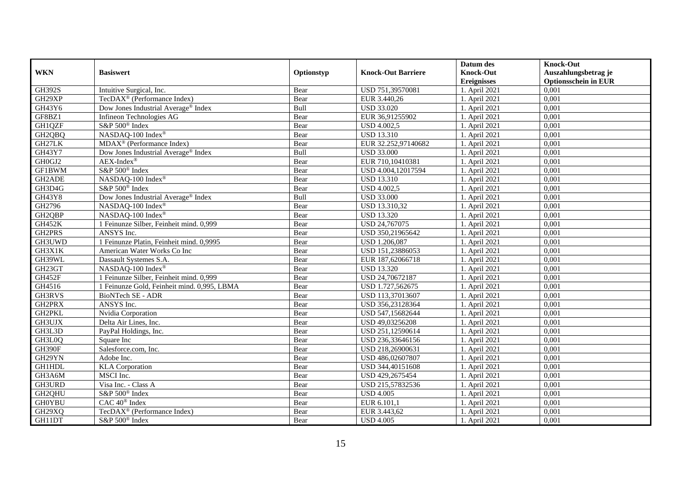|               |                                             |            |                           | Datum des          | <b>Knock-Out</b>            |
|---------------|---------------------------------------------|------------|---------------------------|--------------------|-----------------------------|
| <b>WKN</b>    | <b>Basiswert</b>                            | Optionstyp | <b>Knock-Out Barriere</b> | <b>Knock-Out</b>   | Auszahlungsbetrag je        |
|               |                                             |            |                           | <b>Ereignisses</b> | <b>Optionsschein in EUR</b> |
| <b>GH392S</b> | Intuitive Surgical, Inc.                    | Bear       | USD 751,39570081          | 1. April 2021      | 0,001                       |
| GH29XP        | TecDAX <sup>®</sup> (Performance Index)     | Bear       | EUR 3.440,26              | $1.$ April 2021    | 0,001                       |
| GH43Y6        | Dow Jones Industrial Average® Index         | Bull       | <b>USD 33.020</b>         | 1. April 2021      | 0,001                       |
| GF8BZ1        | Infineon Technologies AG                    | Bear       | EUR 36,91255902           | 1. April 2021      | 0,001                       |
| GH1QZF        | S&P 500 <sup>®</sup> Index                  | Bear       | <b>USD 4.002,5</b>        | 1. April 2021      | 0,001                       |
| GH2QBQ        | NASDAQ-100 Index®                           | Bear       | <b>USD 13.310</b>         | 1. April 2021      | 0,001                       |
| GH27LK        | MDAX <sup>®</sup> (Performance Index)       | Bear       | EUR 32.252,97140682       | 1. April 2021      | 0,001                       |
| GH43Y7        | Dow Jones Industrial Average® Index         | Bull       | <b>USD 33.000</b>         | 1. April 2021      | 0,001                       |
| GH0GJ2        | $AEX-Index^{\circledR}$                     | Bear       | EUR 710,10410381          | 1. April 2021      | 0,001                       |
| GF1BWM        | S&P 500 <sup>®</sup> Index                  | Bear       | USD 4.004,12017594        | 1. April 2021      | 0,001                       |
| GH2ADE        | NASDAQ-100 Index®                           | Bear       | <b>USD 13.310</b>         | 1. April 2021      | 0.001                       |
| GH3D4G        | S&P 500 <sup>®</sup> Index                  | Bear       | <b>USD 4.002,5</b>        | 1. April 2021      | 0,001                       |
| <b>GH43Y8</b> | Dow Jones Industrial Average® Index         | Bull       | <b>USD 33.000</b>         | 1. April 2021      | 0,001                       |
| GH2796        | NASDAQ-100 Index®                           | Bear       | USD 13.310,32             | 1. April 2021      | 0,001                       |
| GH2QBP        | NASDAQ-100 Index®                           | Bear       | <b>USD 13.320</b>         | 1. April 2021      | 0,001                       |
| GH452K        | 1 Feinunze Silber, Feinheit mind. 0,999     | Bear       | USD 24,767075             | 1. April 2021      | 0,001                       |
| GH2PRS        | ANSYS Inc.                                  | Bear       | USD 350,21965642          | 1. April 2021      | 0,001                       |
| GH3UWD        | 1 Feinunze Platin, Feinheit mind. 0,9995    | Bear       | <b>USD 1.206,087</b>      | 1. April 2021      | 0,001                       |
| GH3X1K        | American Water Works Co Inc                 | Bear       | USD 151,23886053          | 1. April 2021      | 0,001                       |
| GH39WL        | Dassault Systemes S.A.                      | Bear       | EUR 187,62066718          | 1. April 2021      | 0,001                       |
| GH23GT        | NASDAO-100 Index®                           | Bear       | <b>USD 13.320</b>         | 1. April 2021      | 0.001                       |
| GH452F        | 1 Feinunze Silber, Feinheit mind. 0,999     | Bear       | USD 24,70672187           | 1. April 2021      | 0,001                       |
| GH4516        | 1 Feinunze Gold, Feinheit mind. 0,995, LBMA | Bear       | USD 1.727,562675          | 1. April 2021      | 0,001                       |
| GH3RVS        | <b>BioNTech SE - ADR</b>                    | Bear       | USD 113,37013607          | 1. April 2021      | 0,001                       |
| GH2PRX        | ANSYS Inc.                                  | Bear       | USD 356,23128364          | 1. April 2021      | 0.001                       |
| GH2PKL        | Nvidia Corporation                          | Bear       | USD 547,15682644          | 1. April 2021      | 0,001                       |
| GH3UJX        | Delta Air Lines, Inc.                       | Bear       | USD 49,03256208           | 1. April 2021      | 0,001                       |
| GH3L3D        | PayPal Holdings, Inc.                       | Bear       | USD 251,12590614          | 1. April 2021      | 0,001                       |
| GH3L0Q        | Square Inc                                  | Bear       | USD 236,33646156          | 1. April 2021      | 0,001                       |
| GH390F        | Salesforce.com, Inc.                        | Bear       | USD 218,26900631          | 1. April 2021      | 0,001                       |
| GH29YN        | Adobe Inc.                                  | Bear       | USD 486,02607807          | 1. April 2021      | 0,001                       |
| <b>GH1HDL</b> | <b>KLA</b> Corporation                      | Bear       | USD 344,40151608          | 1. April 2021      | 0.001                       |
| GH3A6M        | MSCI Inc.                                   | Bear       | USD 429,2675454           | 1. April 2021      | 0,001                       |
| GH3URD        | Visa Inc. - Class A                         | Bear       | USD 215,57832536          | 1. April 2021      | 0,001                       |
| GH2QHU        | S&P 500 <sup>®</sup> Index                  | Bear       | <b>USD 4.005</b>          | 1. April 2021      | 0,001                       |
| <b>GH0YBU</b> | CAC 40 <sup>®</sup> Index                   | Bear       | EUR 6.101,1               | 1. April 2021      | 0,001                       |
| GH29XQ        | TecDAX <sup>®</sup> (Performance Index)     | Bear       | EUR 3.443,62              | 1. April 2021      | 0,001                       |
| GH11DT        | S&P 500 <sup>®</sup> Index                  | Bear       | <b>USD 4.005</b>          | 1. April 2021      | 0,001                       |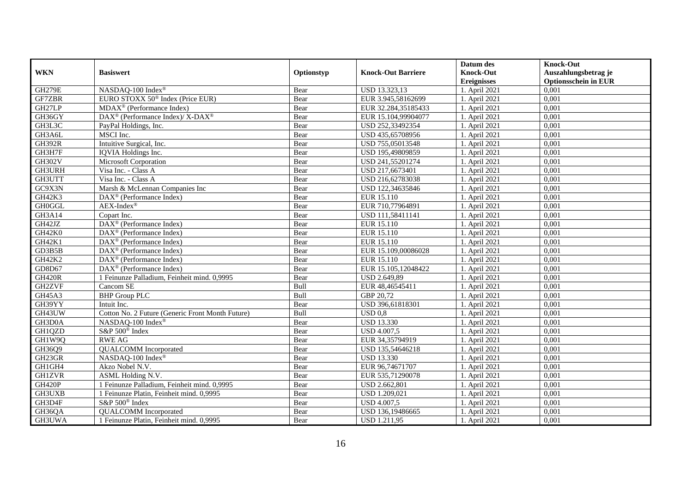|               |                                                              |            |                           | Datum des          | <b>Knock-Out</b>            |
|---------------|--------------------------------------------------------------|------------|---------------------------|--------------------|-----------------------------|
| <b>WKN</b>    | <b>Basiswert</b>                                             | Optionstyp | <b>Knock-Out Barriere</b> | <b>Knock-Out</b>   | Auszahlungsbetrag je        |
|               |                                                              |            |                           | <b>Ereignisses</b> | <b>Optionsschein in EUR</b> |
| <b>GH279E</b> | NASDAQ-100 Index®                                            | Bear       | USD 13.323,13             | 1. April 2021      | 0,001                       |
| GF7ZBR        | EURO STOXX 50 <sup>®</sup> Index (Price EUR)                 | Bear       | EUR 3.945,58162699        | 1. April 2021      | 0,001                       |
| GH27LP        | MDAX <sup>®</sup> (Performance Index)                        | Bear       | EUR 32.284,35185433       | 1. April 2021      | 0,001                       |
| GH36GY        | DAX <sup>®</sup> (Performance Index)/ X-DAX <sup>®</sup>     | Bear       | EUR 15.104,99904077       | 1. April 2021      | 0,001                       |
| GH3L3C        | PayPal Holdings, Inc.                                        | Bear       | USD 252,33492354          | 1. April 2021      | 0,001                       |
| GH3A6L        | MSCI Inc.                                                    | Bear       | USD 435,65708956          | 1. April 2021      | 0,001                       |
| <b>GH392R</b> | Intuitive Surgical, Inc.                                     | Bear       | USD 755,05013548          | 1. April 2021      | 0,001                       |
| GH3H7F        | IQVIA Holdings Inc.                                          | Bear       | USD 195,49809859          | 1. April 2021      | 0,001                       |
| GH302V        | <b>Microsoft Corporation</b>                                 | Bear       | USD 241,55201274          | 1. April 2021      | 0,001                       |
| GH3URH        | Visa Inc. - Class A                                          | Bear       | USD 217,6673401           | 1. April 2021      | 0,001                       |
| GH3UTT        | Visa Inc. - Class A                                          | Bear       | USD 216,62783038          | 1. April 2021      | 0,001                       |
| GC9X3N        | Marsh & McLennan Companies Inc                               | Bear       | USD 122,34635846          | 1. April 2021      | 0,001                       |
| GH42K3        | $\overline{\text{DAX}}^{\textcircled{}}$ (Performance Index) | Bear       | EUR 15.110                | 1. April 2021      | 0,001                       |
| <b>GH0GGL</b> | $AEX-Index^{\circledR}$                                      | Bear       | EUR 710,77964891          | 1. April 2021      | 0,001                       |
| GH3A14        | Copart Inc.                                                  | Bear       | USD 111,58411141          | 1. April 2021      | 0,001                       |
| GH42JZ        | DAX <sup>®</sup> (Performance Index)                         | Bear       | EUR 15.110                | 1. April 2021      | 0,001                       |
| GH42K0        | $DAX^{\circledR}$ (Performance Index)                        | Bear       | EUR 15.110                | 1. April 2021      | 0,001                       |
| GH42K1        | $DAX^{\circledR}$ (Performance Index)                        | Bear       | EUR 15.110                | 1. April 2021      | 0,001                       |
| GD3B5B        | DAX <sup>®</sup> (Performance Index)                         | Bear       | EUR 15.109,00086028       | 1. April 2021      | 0,001                       |
| GH42K2        | $DAX^{\circledast}$ (Performance Index)                      | Bear       | EUR 15.110                | 1. April 2021      | 0,001                       |
| GD8D67        | $DAX^{\circledast}$ (Performance Index)                      | Bear       | EUR 15.105,12048422       | 1. April 2021      | 0.001                       |
| <b>GH420R</b> | 1 Feinunze Palladium, Feinheit mind. 0,9995                  | Bear       | USD 2.649,89              | 1. April 2021      | 0.001                       |
| GH2ZVF        | Cancom SE                                                    | Bull       | EUR 48,46545411           | 1. April 2021      | 0,001                       |
| GH45A3        | <b>BHP</b> Group PLC                                         | Bull       | GBP 20,72                 | 1. April 2021      | 0,001                       |
| GH39YY        | Intuit Inc.                                                  | Bear       | USD 396,61818301          | 1. April 2021      | 0,001                       |
| GH43UW        | Cotton No. 2 Future (Generic Front Month Future)             | Bull       | $USD$ 0,8                 | 1. April 2021      | 0,001                       |
| GH3D0A        | NASDAQ-100 Index®                                            | Bear       | <b>USD 13.330</b>         | 1. April 2021      | 0,001                       |
| GH1QZD        | S&P 500 <sup>®</sup> Index                                   | Bear       | <b>USD 4.007,5</b>        | 1. April 2021      | 0,001                       |
| GH1W9Q        | <b>RWE AG</b>                                                | Bear       | EUR 34,35794919           | 1. April 2021      | 0,001                       |
| GH36Q9        | <b>OUALCOMM</b> Incorporated                                 | Bear       | USD 135,54646218          | 1. April 2021      | 0.001                       |
| GH23GR        | NASDAQ-100 Index®                                            | Bear       | <b>USD 13.330</b>         | 1. April 2021      | 0,001                       |
| GH1GH4        | Akzo Nobel N.V.                                              | Bear       | EUR 96,74671707           | 1. April 2021      | 0,001                       |
| <b>GH1ZVR</b> | ASML Holding N.V.                                            | Bear       | EUR 535,71290078          | 1. April 2021      | 0,001                       |
| GH420P        | 1 Feinunze Palladium, Feinheit mind. 0,9995                  | Bear       | USD 2.662,801             | 1. April 2021      | 0,001                       |
| <b>GH3UXB</b> | 1 Feinunze Platin, Feinheit mind. 0,9995                     | Bear       | USD 1.209,021             | 1. April 2021      | 0,001                       |
| GH3D4F        | S&P 500 <sup>®</sup> Index                                   | Bear       | <b>USD 4.007,5</b>        | 1. April 2021      | 0,001                       |
| GH36QA        | <b>QUALCOMM</b> Incorporated                                 | Bear       | USD 136,19486665          | 1. April 2021      | 0,001                       |
| GH3UWA        | 1 Feinunze Platin, Feinheit mind. 0,9995                     | Bear       | <b>USD 1.211,95</b>       | 1. April 2021      | 0,001                       |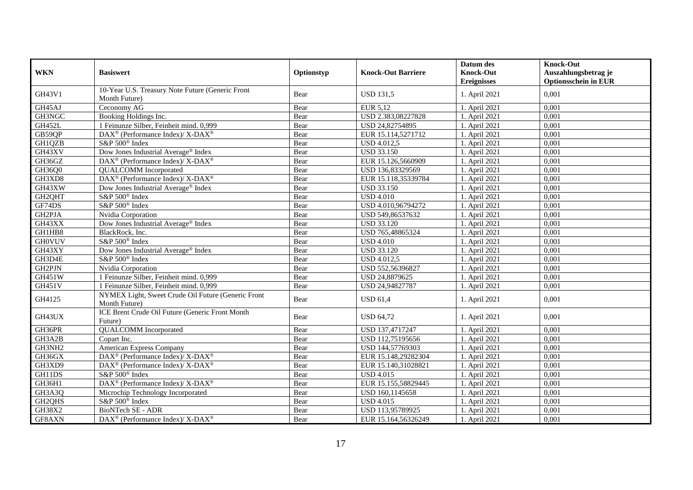|                                 |                                                                          |            |                           | Datum des          | <b>Knock-Out</b>            |
|---------------------------------|--------------------------------------------------------------------------|------------|---------------------------|--------------------|-----------------------------|
| <b>WKN</b>                      | <b>Basiswert</b>                                                         | Optionstyp | <b>Knock-Out Barriere</b> | <b>Knock-Out</b>   | Auszahlungsbetrag je        |
|                                 |                                                                          |            |                           | <b>Ereignisses</b> | <b>Optionsschein in EUR</b> |
|                                 | 10-Year U.S. Treasury Note Future (Generic Front                         |            |                           |                    |                             |
| GH43V1                          | Month Future)                                                            | Bear       | <b>USD 131.5</b>          | 1. April 2021      | 0.001                       |
| GH45AJ                          | Ceconomy AG                                                              | Bear       | EUR 5,12                  | 1. April 2021      | 0,001                       |
| GH3NGC                          | Booking Holdings Inc.                                                    | Bear       | USD 2.383,08227828        | 1. April 2021      | 0,001                       |
| <b>GH452L</b>                   | 1 Feinunze Silber, Feinheit mind. 0,999                                  | Bear       | USD 24,82754895           | 1. April 2021      | 0,001                       |
| GB59QP                          | DAX <sup>®</sup> (Performance Index)/ X-DAX <sup>®</sup>                 | Bear       | EUR 15.114,5271712        | 1. April 2021      | 0,001                       |
| GH1QZB                          | S&P 500 <sup>®</sup> Index                                               | Bear       | <b>USD 4.012,5</b>        | 1. April 2021      | 0,001                       |
| GH43XV                          | Dow Jones Industrial Average® Index                                      | Bear       | <b>USD 33.150</b>         | 1. April 2021      | 0,001                       |
| GH36GZ                          | DAX <sup>®</sup> (Performance Index)/ X-DAX <sup>®</sup>                 | Bear       | EUR 15.126,5660909        | 1. April 2021      | 0,001                       |
| GH36Q0                          | <b>OUALCOMM</b> Incorporated                                             | Bear       | USD 136,83329569          | 1. April 2021      | 0,001                       |
| GH3XD8                          | DAX <sup>®</sup> (Performance Index)/ X-DAX <sup>®</sup>                 | Bear       | EUR 15.118,35339784       | 1. April 2021      | 0,001                       |
| GH43XW                          | Dow Jones Industrial Average <sup>®</sup> Index                          | Bear       | <b>USD 33.150</b>         | 1. April 2021      | 0,001                       |
| GH2QHT                          | S&P 500 <sup>®</sup> Index                                               | Bear       | <b>USD 4.010</b>          | 1. April 2021      | 0,001                       |
| GF74DS                          | S&P 500 <sup>®</sup> Index                                               | Bear       | USD 4.010,96794272        | 1. April 2021      | 0,001                       |
| GH2PJA                          | Nvidia Corporation                                                       | Bear       | USD 549,86537632          | 1. April 2021      | 0,001                       |
| GH43XX                          | Dow Jones Industrial Average® Index                                      | Bear       | <b>USD 33.120</b>         | 1. April 2021      | 0,001                       |
| GH1HB8                          | BlackRock, Inc.                                                          | Bear       | USD 765,48865324          | 1. April 2021      | 0,001                       |
| <b>GH0VUV</b>                   | S&P 500 <sup>®</sup> Index                                               | Bear       | <b>USD 4.010</b>          | 1. April 2021      | 0,001                       |
| GH43XY                          | Dow Jones Industrial Average® Index                                      | Bear       | <b>USD 33.120</b>         | 1. April 2021      | 0,001                       |
| GH3D4E                          | S&P 500 <sup>®</sup> Index                                               | Bear       | <b>USD 4.012,5</b>        | 1. April 2021      | 0.001                       |
| GH2PJN                          | Nvidia Corporation                                                       | Bear       | USD 552,56396827          | 1. April 2021      | 0,001                       |
| GH451W                          | 1 Feinunze Silber, Feinheit mind. 0,999                                  | Bear       | USD 24,8879625            | 1. April 2021      | 0,001                       |
| <b>GH451V</b>                   | 1 Feinunze Silber, Feinheit mind. 0,999                                  | Bear       | USD 24,94827787           | 1. April 2021      | 0,001                       |
| GH4125                          | NYMEX Light, Sweet Crude Oil Future (Generic Front<br>Month Future)      | Bear       | <b>USD 61,4</b>           | 1. April 2021      | 0,001                       |
| GH43UX                          | ICE Brent Crude Oil Future (Generic Front Month<br>Future)               | Bear       | <b>USD 64,72</b>          | 1. April 2021      | 0,001                       |
| GH36PR                          | <b>QUALCOMM</b> Incorporated                                             | Bear       | USD 137,4717247           | 1. April 2021      | 0,001                       |
| GH3A2B                          | Copart Inc.                                                              | Bear       | USD 112,75195656          | 1. April 2021      | 0,001                       |
| GH3NH2                          | American Express Company                                                 | Bear       | USD 144,57769303          | 1. April 2021      | 0,001                       |
| GH36GX                          | $DAX^{\circledast}$ (Performance Index)/ X-DAX <sup>®</sup>              | Bear       | EUR 15.148,29282304       | 1. April 2021      | 0.001                       |
| GH3XD9                          | $\overline{\text{DAX}^{\otimes}}$ (Performance Index)/X-DAX <sup>®</sup> | Bear       | EUR 15.140,31028821       | 1. April 2021      | 0,001                       |
| GH11DS                          | S&P 500 <sup>®</sup> Index                                               | Bear       | <b>USD 4.015</b>          | 1. April 2021      | 0,001                       |
| GH36H1                          | DAX <sup>®</sup> (Performance Index)/X-DAX <sup>®</sup>                  | Bear       | EUR 15.155,58829445       | 1. April 2021      | 0,001                       |
| GH3A3Q                          | Microchip Technology Incorporated                                        | Bear       | USD 160,1145658           | 1. April 2021      | 0.001                       |
| GH <sub>2</sub> QH <sub>S</sub> | S&P 500 <sup>®</sup> Index                                               | Bear       | <b>USD 4.015</b>          | 1. April 2021      | 0,001                       |
| GH38X2                          | BioNTech SE - ADR                                                        | Bear       | USD 113,95789925          | 1. April 2021      | 0,001                       |
| GF8AXN                          | DAX <sup>®</sup> (Performance Index)/ X-DAX <sup>®</sup>                 | Bear       | EUR 15.164,56326249       | 1. April 2021      | 0,001                       |